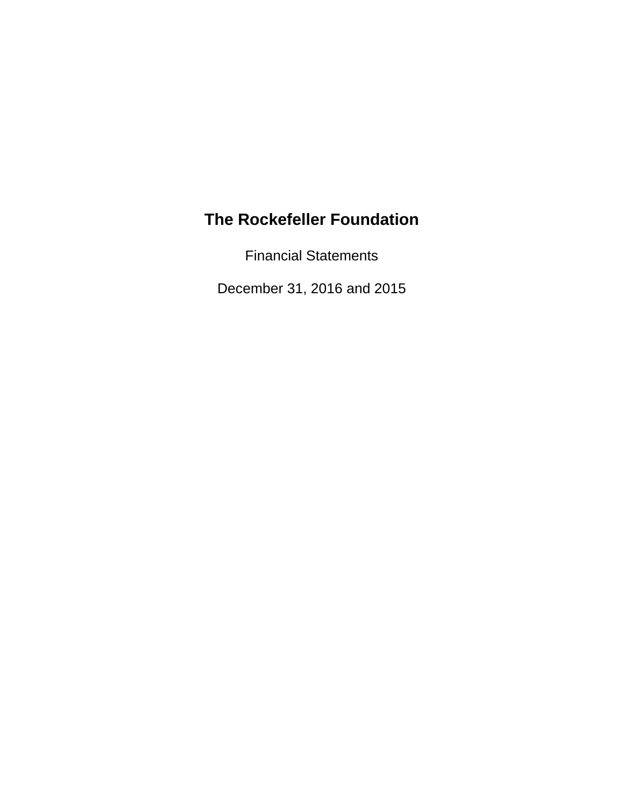Financial Statements

December 31, 2016 and 2015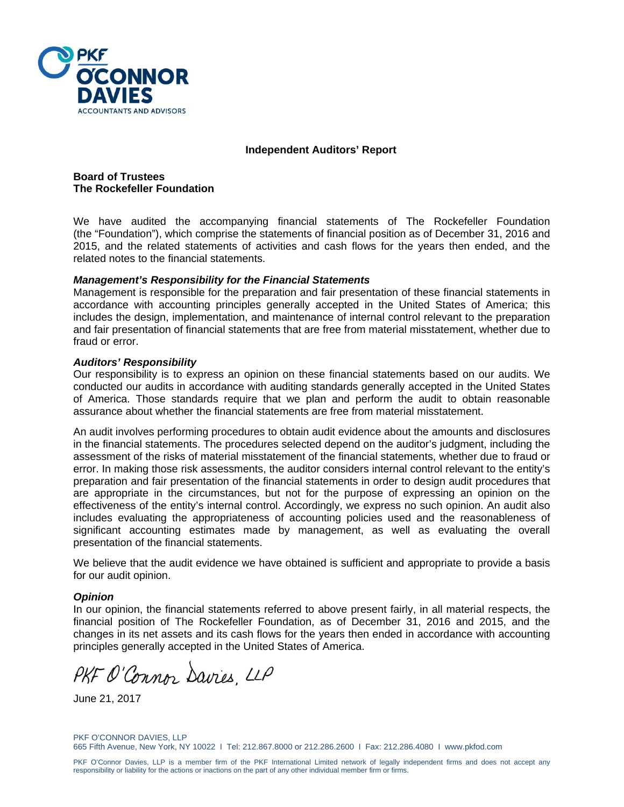

#### **Independent Auditors' Report**

**Board of Trustees The Rockefeller Foundation** 

We have audited the accompanying financial statements of The Rockefeller Foundation (the "Foundation"), which comprise the statements of financial position as of December 31, 2016 and 2015, and the related statements of activities and cash flows for the years then ended, and the related notes to the financial statements.

#### *Management's Responsibility for the Financial Statements*

Management is responsible for the preparation and fair presentation of these financial statements in accordance with accounting principles generally accepted in the United States of America; this includes the design, implementation, and maintenance of internal control relevant to the preparation and fair presentation of financial statements that are free from material misstatement, whether due to fraud or error.

#### *Auditors' Responsibility*

Our responsibility is to express an opinion on these financial statements based on our audits. We conducted our audits in accordance with auditing standards generally accepted in the United States of America. Those standards require that we plan and perform the audit to obtain reasonable assurance about whether the financial statements are free from material misstatement.

An audit involves performing procedures to obtain audit evidence about the amounts and disclosures in the financial statements. The procedures selected depend on the auditor's judgment, including the assessment of the risks of material misstatement of the financial statements, whether due to fraud or error. In making those risk assessments, the auditor considers internal control relevant to the entity's preparation and fair presentation of the financial statements in order to design audit procedures that are appropriate in the circumstances, but not for the purpose of expressing an opinion on the effectiveness of the entity's internal control. Accordingly, we express no such opinion. An audit also includes evaluating the appropriateness of accounting policies used and the reasonableness of significant accounting estimates made by management, as well as evaluating the overall presentation of the financial statements.

We believe that the audit evidence we have obtained is sufficient and appropriate to provide a basis for our audit opinion.

#### *Opinion*

In our opinion, the financial statements referred to above present fairly, in all material respects, the financial position of The Rockefeller Foundation, as of December 31, 2016 and 2015, and the changes in its net assets and its cash flows for the years then ended in accordance with accounting principles generally accepted in the United States of America.

PKF O'Connor Davies, LLP

June 21, 2017

PKF O'CONNOR DAVIES, LLP 665 Fifth Avenue, New York, NY 10022 I Tel: 212.867.8000 or 212.286.2600 I Fax: 212.286.4080 I www.pkfod.com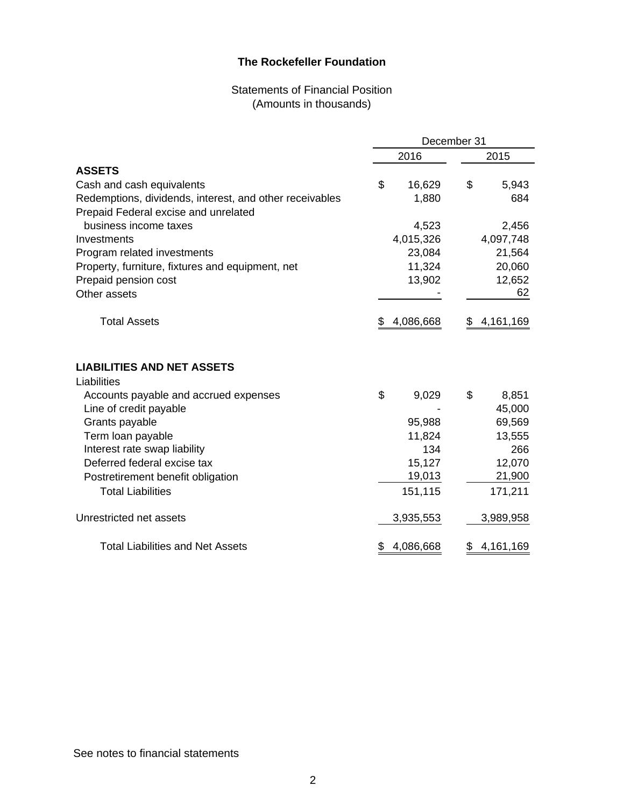# Statements of Financial Position (Amounts in thousands)

|                                                         | December 31 |           |    |           |
|---------------------------------------------------------|-------------|-----------|----|-----------|
|                                                         |             | 2016      |    | 2015      |
| <b>ASSETS</b>                                           |             |           |    |           |
| Cash and cash equivalents                               | \$          | 16,629    | \$ | 5,943     |
| Redemptions, dividends, interest, and other receivables |             | 1,880     |    | 684       |
| Prepaid Federal excise and unrelated                    |             |           |    |           |
| business income taxes                                   |             | 4,523     |    | 2,456     |
| Investments                                             |             | 4,015,326 |    | 4,097,748 |
| Program related investments                             |             | 23,084    |    | 21,564    |
| Property, furniture, fixtures and equipment, net        |             | 11,324    |    | 20,060    |
| Prepaid pension cost                                    |             | 13,902    |    | 12,652    |
| Other assets                                            |             |           |    | 62        |
| <b>Total Assets</b>                                     | \$          | 4,086,668 | \$ | 4,161,169 |
| <b>LIABILITIES AND NET ASSETS</b><br>Liabilities        |             |           |    |           |
| Accounts payable and accrued expenses                   | \$          | 9,029     | \$ | 8,851     |
| Line of credit payable                                  |             |           |    | 45,000    |
| Grants payable                                          |             | 95,988    |    | 69,569    |
| Term loan payable                                       |             | 11,824    |    | 13,555    |
| Interest rate swap liability                            |             | 134       |    | 266       |
| Deferred federal excise tax                             |             | 15,127    |    | 12,070    |
| Postretirement benefit obligation                       |             | 19,013    |    | 21,900    |
| <b>Total Liabilities</b>                                |             | 151,115   |    | 171,211   |
| Unrestricted net assets                                 |             | 3,935,553 |    | 3,989,958 |
| <b>Total Liabilities and Net Assets</b>                 |             | 4,086,668 | \$ | 4,161,169 |

See notes to financial statements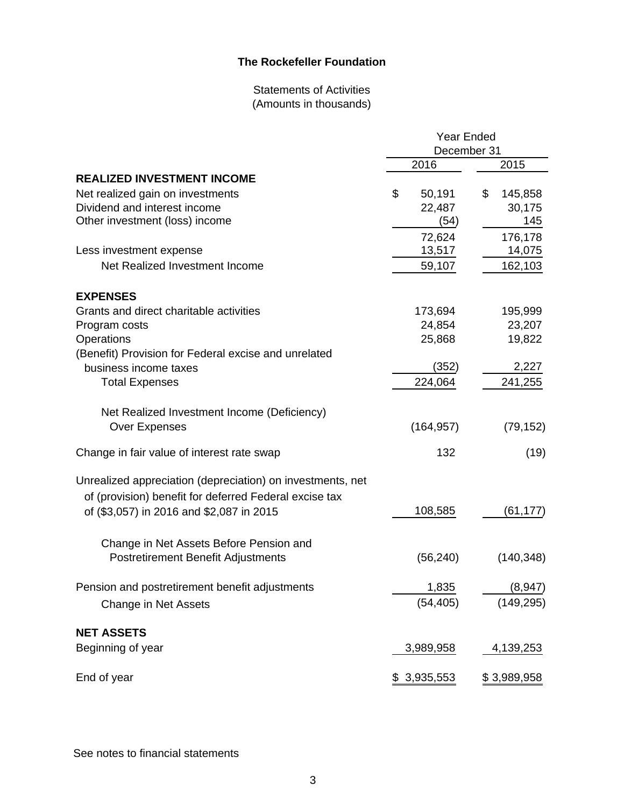# Statements of Activities (Amounts in thousands)

|                                                                                                                                                                  | <b>Year Ended</b> |               |  |
|------------------------------------------------------------------------------------------------------------------------------------------------------------------|-------------------|---------------|--|
|                                                                                                                                                                  |                   | December 31   |  |
|                                                                                                                                                                  | 2016              | 2015          |  |
| <b>REALIZED INVESTMENT INCOME</b>                                                                                                                                |                   |               |  |
| Net realized gain on investments                                                                                                                                 | \$<br>50,191      | 145,858<br>\$ |  |
| Dividend and interest income                                                                                                                                     | 22,487            | 30,175        |  |
| Other investment (loss) income                                                                                                                                   | (54)              | 145           |  |
|                                                                                                                                                                  | 72,624            | 176,178       |  |
| Less investment expense                                                                                                                                          | 13,517            | 14,075        |  |
| Net Realized Investment Income                                                                                                                                   | 59,107            | 162,103       |  |
| <b>EXPENSES</b>                                                                                                                                                  |                   |               |  |
| Grants and direct charitable activities                                                                                                                          | 173,694           | 195,999       |  |
| Program costs                                                                                                                                                    | 24,854            | 23,207        |  |
| Operations                                                                                                                                                       | 25,868            | 19,822        |  |
| (Benefit) Provision for Federal excise and unrelated                                                                                                             |                   |               |  |
| business income taxes                                                                                                                                            | (352)             | 2,227         |  |
| <b>Total Expenses</b>                                                                                                                                            | 224,064           | 241,255       |  |
| Net Realized Investment Income (Deficiency)<br><b>Over Expenses</b>                                                                                              | (164, 957)        | (79, 152)     |  |
| Change in fair value of interest rate swap                                                                                                                       | 132               | (19)          |  |
| Unrealized appreciation (depreciation) on investments, net<br>of (provision) benefit for deferred Federal excise tax<br>of (\$3,057) in 2016 and \$2,087 in 2015 | 108,585           | (61, 177)     |  |
| Change in Net Assets Before Pension and<br><b>Postretirement Benefit Adjustments</b>                                                                             | (56, 240)         | (140, 348)    |  |
| Pension and postretirement benefit adjustments                                                                                                                   | 1,835             | (8,947)       |  |
| Change in Net Assets                                                                                                                                             | (54, 405)         | (149, 295)    |  |
| <b>NET ASSETS</b>                                                                                                                                                |                   |               |  |
| Beginning of year                                                                                                                                                | 3,989,958         | 4,139,253     |  |
| End of year                                                                                                                                                      | \$3,935,553       | \$3,989,958   |  |

See notes to financial statements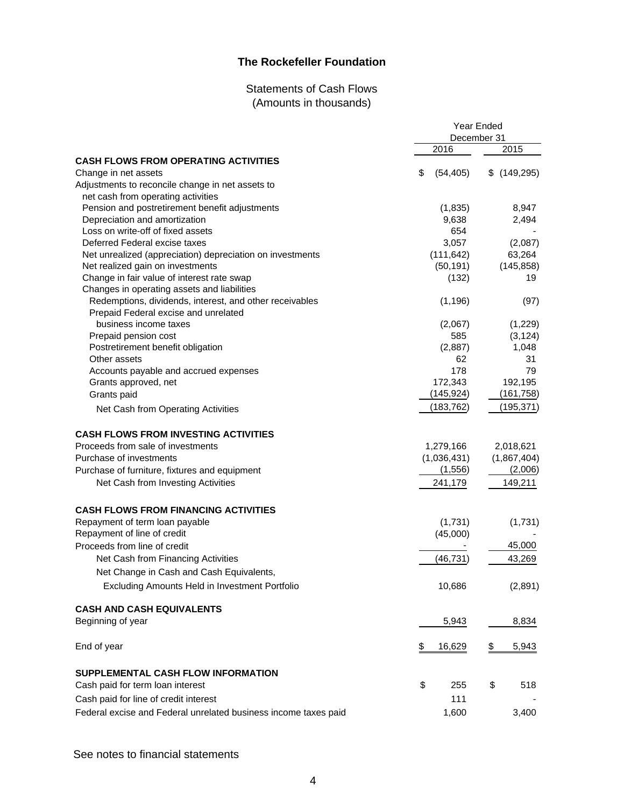# Statements of Cash Flows (Amounts in thousands)

| December 31<br>2016<br>2015<br><b>CASH FLOWS FROM OPERATING ACTIVITIES</b><br>\$<br>(54, 405)<br>\$<br>(149, 295)<br>Change in net assets<br>Adjustments to reconcile change in net assets to<br>net cash from operating activities<br>Pension and postretirement benefit adjustments<br>(1,835)<br>8,947<br>Depreciation and amortization<br>9,638<br>2,494<br>Loss on write-off of fixed assets<br>654<br>Deferred Federal excise taxes<br>3,057<br>(2,087)<br>Net unrealized (appreciation) depreciation on investments<br>(111, 642)<br>63,264<br>Net realized gain on investments<br>(50, 191)<br>(145, 858)<br>Change in fair value of interest rate swap<br>19<br>(132)<br>Changes in operating assets and liabilities<br>Redemptions, dividends, interest, and other receivables<br>(1, 196)<br>(97)<br>Prepaid Federal excise and unrelated<br>business income taxes<br>(1,229)<br>(2,067)<br>585<br>Prepaid pension cost<br>(3, 124)<br>Postretirement benefit obligation<br>(2,887)<br>1,048<br>62<br>Other assets<br>31<br>178<br>79<br>Accounts payable and accrued expenses<br>172,343<br>192,195<br>Grants approved, net<br>(161, 758)<br>(145,924)<br>Grants paid<br>(183, 762)<br>(195, 371)<br>Net Cash from Operating Activities<br><b>CASH FLOWS FROM INVESTING ACTIVITIES</b><br>Proceeds from sale of investments<br>1,279,166<br>2,018,621<br>(1,036,431)<br>(1,867,404)<br>(1, 556)<br>(2,006)<br>Purchase of furniture, fixtures and equipment<br>Net Cash from Investing Activities<br>149,211<br>241,179<br><b>CASH FLOWS FROM FINANCING ACTIVITIES</b><br>Repayment of term loan payable<br>(1,731)<br>(1,731)<br>Repayment of line of credit<br>(45,000)<br>45,000<br>Proceeds from line of credit<br>43,269<br>Net Cash from Financing Activities<br>(46, 731)<br>Net Change in Cash and Cash Equivalents,<br>10,686<br>Excluding Amounts Held in Investment Portfolio<br>(2,891)<br><b>CASH AND CASH EQUIVALENTS</b><br>Beginning of year<br>5,943<br>8,834<br>End of year<br>\$<br>\$<br>5,943<br>16,629<br>SUPPLEMENTAL CASH FLOW INFORMATION<br>\$<br>\$<br>Cash paid for term loan interest<br>255<br>518<br>111<br>Cash paid for line of credit interest<br>3,400 |                                                                 | Year Ended |  |  |
|-------------------------------------------------------------------------------------------------------------------------------------------------------------------------------------------------------------------------------------------------------------------------------------------------------------------------------------------------------------------------------------------------------------------------------------------------------------------------------------------------------------------------------------------------------------------------------------------------------------------------------------------------------------------------------------------------------------------------------------------------------------------------------------------------------------------------------------------------------------------------------------------------------------------------------------------------------------------------------------------------------------------------------------------------------------------------------------------------------------------------------------------------------------------------------------------------------------------------------------------------------------------------------------------------------------------------------------------------------------------------------------------------------------------------------------------------------------------------------------------------------------------------------------------------------------------------------------------------------------------------------------------------------------------------------------------------------------------------------------------------------------------------------------------------------------------------------------------------------------------------------------------------------------------------------------------------------------------------------------------------------------------------------------------------------------------------------------------------------------------------------------------------------------------------------------------------------|-----------------------------------------------------------------|------------|--|--|
|                                                                                                                                                                                                                                                                                                                                                                                                                                                                                                                                                                                                                                                                                                                                                                                                                                                                                                                                                                                                                                                                                                                                                                                                                                                                                                                                                                                                                                                                                                                                                                                                                                                                                                                                                                                                                                                                                                                                                                                                                                                                                                                                                                                                       |                                                                 |            |  |  |
|                                                                                                                                                                                                                                                                                                                                                                                                                                                                                                                                                                                                                                                                                                                                                                                                                                                                                                                                                                                                                                                                                                                                                                                                                                                                                                                                                                                                                                                                                                                                                                                                                                                                                                                                                                                                                                                                                                                                                                                                                                                                                                                                                                                                       |                                                                 |            |  |  |
|                                                                                                                                                                                                                                                                                                                                                                                                                                                                                                                                                                                                                                                                                                                                                                                                                                                                                                                                                                                                                                                                                                                                                                                                                                                                                                                                                                                                                                                                                                                                                                                                                                                                                                                                                                                                                                                                                                                                                                                                                                                                                                                                                                                                       |                                                                 |            |  |  |
|                                                                                                                                                                                                                                                                                                                                                                                                                                                                                                                                                                                                                                                                                                                                                                                                                                                                                                                                                                                                                                                                                                                                                                                                                                                                                                                                                                                                                                                                                                                                                                                                                                                                                                                                                                                                                                                                                                                                                                                                                                                                                                                                                                                                       |                                                                 |            |  |  |
|                                                                                                                                                                                                                                                                                                                                                                                                                                                                                                                                                                                                                                                                                                                                                                                                                                                                                                                                                                                                                                                                                                                                                                                                                                                                                                                                                                                                                                                                                                                                                                                                                                                                                                                                                                                                                                                                                                                                                                                                                                                                                                                                                                                                       |                                                                 |            |  |  |
|                                                                                                                                                                                                                                                                                                                                                                                                                                                                                                                                                                                                                                                                                                                                                                                                                                                                                                                                                                                                                                                                                                                                                                                                                                                                                                                                                                                                                                                                                                                                                                                                                                                                                                                                                                                                                                                                                                                                                                                                                                                                                                                                                                                                       |                                                                 |            |  |  |
|                                                                                                                                                                                                                                                                                                                                                                                                                                                                                                                                                                                                                                                                                                                                                                                                                                                                                                                                                                                                                                                                                                                                                                                                                                                                                                                                                                                                                                                                                                                                                                                                                                                                                                                                                                                                                                                                                                                                                                                                                                                                                                                                                                                                       |                                                                 |            |  |  |
|                                                                                                                                                                                                                                                                                                                                                                                                                                                                                                                                                                                                                                                                                                                                                                                                                                                                                                                                                                                                                                                                                                                                                                                                                                                                                                                                                                                                                                                                                                                                                                                                                                                                                                                                                                                                                                                                                                                                                                                                                                                                                                                                                                                                       |                                                                 |            |  |  |
|                                                                                                                                                                                                                                                                                                                                                                                                                                                                                                                                                                                                                                                                                                                                                                                                                                                                                                                                                                                                                                                                                                                                                                                                                                                                                                                                                                                                                                                                                                                                                                                                                                                                                                                                                                                                                                                                                                                                                                                                                                                                                                                                                                                                       |                                                                 |            |  |  |
|                                                                                                                                                                                                                                                                                                                                                                                                                                                                                                                                                                                                                                                                                                                                                                                                                                                                                                                                                                                                                                                                                                                                                                                                                                                                                                                                                                                                                                                                                                                                                                                                                                                                                                                                                                                                                                                                                                                                                                                                                                                                                                                                                                                                       |                                                                 |            |  |  |
|                                                                                                                                                                                                                                                                                                                                                                                                                                                                                                                                                                                                                                                                                                                                                                                                                                                                                                                                                                                                                                                                                                                                                                                                                                                                                                                                                                                                                                                                                                                                                                                                                                                                                                                                                                                                                                                                                                                                                                                                                                                                                                                                                                                                       |                                                                 |            |  |  |
|                                                                                                                                                                                                                                                                                                                                                                                                                                                                                                                                                                                                                                                                                                                                                                                                                                                                                                                                                                                                                                                                                                                                                                                                                                                                                                                                                                                                                                                                                                                                                                                                                                                                                                                                                                                                                                                                                                                                                                                                                                                                                                                                                                                                       |                                                                 |            |  |  |
|                                                                                                                                                                                                                                                                                                                                                                                                                                                                                                                                                                                                                                                                                                                                                                                                                                                                                                                                                                                                                                                                                                                                                                                                                                                                                                                                                                                                                                                                                                                                                                                                                                                                                                                                                                                                                                                                                                                                                                                                                                                                                                                                                                                                       |                                                                 |            |  |  |
|                                                                                                                                                                                                                                                                                                                                                                                                                                                                                                                                                                                                                                                                                                                                                                                                                                                                                                                                                                                                                                                                                                                                                                                                                                                                                                                                                                                                                                                                                                                                                                                                                                                                                                                                                                                                                                                                                                                                                                                                                                                                                                                                                                                                       |                                                                 |            |  |  |
|                                                                                                                                                                                                                                                                                                                                                                                                                                                                                                                                                                                                                                                                                                                                                                                                                                                                                                                                                                                                                                                                                                                                                                                                                                                                                                                                                                                                                                                                                                                                                                                                                                                                                                                                                                                                                                                                                                                                                                                                                                                                                                                                                                                                       |                                                                 |            |  |  |
|                                                                                                                                                                                                                                                                                                                                                                                                                                                                                                                                                                                                                                                                                                                                                                                                                                                                                                                                                                                                                                                                                                                                                                                                                                                                                                                                                                                                                                                                                                                                                                                                                                                                                                                                                                                                                                                                                                                                                                                                                                                                                                                                                                                                       |                                                                 |            |  |  |
|                                                                                                                                                                                                                                                                                                                                                                                                                                                                                                                                                                                                                                                                                                                                                                                                                                                                                                                                                                                                                                                                                                                                                                                                                                                                                                                                                                                                                                                                                                                                                                                                                                                                                                                                                                                                                                                                                                                                                                                                                                                                                                                                                                                                       |                                                                 |            |  |  |
|                                                                                                                                                                                                                                                                                                                                                                                                                                                                                                                                                                                                                                                                                                                                                                                                                                                                                                                                                                                                                                                                                                                                                                                                                                                                                                                                                                                                                                                                                                                                                                                                                                                                                                                                                                                                                                                                                                                                                                                                                                                                                                                                                                                                       |                                                                 |            |  |  |
|                                                                                                                                                                                                                                                                                                                                                                                                                                                                                                                                                                                                                                                                                                                                                                                                                                                                                                                                                                                                                                                                                                                                                                                                                                                                                                                                                                                                                                                                                                                                                                                                                                                                                                                                                                                                                                                                                                                                                                                                                                                                                                                                                                                                       |                                                                 |            |  |  |
|                                                                                                                                                                                                                                                                                                                                                                                                                                                                                                                                                                                                                                                                                                                                                                                                                                                                                                                                                                                                                                                                                                                                                                                                                                                                                                                                                                                                                                                                                                                                                                                                                                                                                                                                                                                                                                                                                                                                                                                                                                                                                                                                                                                                       |                                                                 |            |  |  |
|                                                                                                                                                                                                                                                                                                                                                                                                                                                                                                                                                                                                                                                                                                                                                                                                                                                                                                                                                                                                                                                                                                                                                                                                                                                                                                                                                                                                                                                                                                                                                                                                                                                                                                                                                                                                                                                                                                                                                                                                                                                                                                                                                                                                       |                                                                 |            |  |  |
|                                                                                                                                                                                                                                                                                                                                                                                                                                                                                                                                                                                                                                                                                                                                                                                                                                                                                                                                                                                                                                                                                                                                                                                                                                                                                                                                                                                                                                                                                                                                                                                                                                                                                                                                                                                                                                                                                                                                                                                                                                                                                                                                                                                                       |                                                                 |            |  |  |
|                                                                                                                                                                                                                                                                                                                                                                                                                                                                                                                                                                                                                                                                                                                                                                                                                                                                                                                                                                                                                                                                                                                                                                                                                                                                                                                                                                                                                                                                                                                                                                                                                                                                                                                                                                                                                                                                                                                                                                                                                                                                                                                                                                                                       |                                                                 |            |  |  |
|                                                                                                                                                                                                                                                                                                                                                                                                                                                                                                                                                                                                                                                                                                                                                                                                                                                                                                                                                                                                                                                                                                                                                                                                                                                                                                                                                                                                                                                                                                                                                                                                                                                                                                                                                                                                                                                                                                                                                                                                                                                                                                                                                                                                       |                                                                 |            |  |  |
|                                                                                                                                                                                                                                                                                                                                                                                                                                                                                                                                                                                                                                                                                                                                                                                                                                                                                                                                                                                                                                                                                                                                                                                                                                                                                                                                                                                                                                                                                                                                                                                                                                                                                                                                                                                                                                                                                                                                                                                                                                                                                                                                                                                                       |                                                                 |            |  |  |
|                                                                                                                                                                                                                                                                                                                                                                                                                                                                                                                                                                                                                                                                                                                                                                                                                                                                                                                                                                                                                                                                                                                                                                                                                                                                                                                                                                                                                                                                                                                                                                                                                                                                                                                                                                                                                                                                                                                                                                                                                                                                                                                                                                                                       |                                                                 |            |  |  |
|                                                                                                                                                                                                                                                                                                                                                                                                                                                                                                                                                                                                                                                                                                                                                                                                                                                                                                                                                                                                                                                                                                                                                                                                                                                                                                                                                                                                                                                                                                                                                                                                                                                                                                                                                                                                                                                                                                                                                                                                                                                                                                                                                                                                       | Purchase of investments                                         |            |  |  |
|                                                                                                                                                                                                                                                                                                                                                                                                                                                                                                                                                                                                                                                                                                                                                                                                                                                                                                                                                                                                                                                                                                                                                                                                                                                                                                                                                                                                                                                                                                                                                                                                                                                                                                                                                                                                                                                                                                                                                                                                                                                                                                                                                                                                       |                                                                 |            |  |  |
|                                                                                                                                                                                                                                                                                                                                                                                                                                                                                                                                                                                                                                                                                                                                                                                                                                                                                                                                                                                                                                                                                                                                                                                                                                                                                                                                                                                                                                                                                                                                                                                                                                                                                                                                                                                                                                                                                                                                                                                                                                                                                                                                                                                                       |                                                                 |            |  |  |
|                                                                                                                                                                                                                                                                                                                                                                                                                                                                                                                                                                                                                                                                                                                                                                                                                                                                                                                                                                                                                                                                                                                                                                                                                                                                                                                                                                                                                                                                                                                                                                                                                                                                                                                                                                                                                                                                                                                                                                                                                                                                                                                                                                                                       |                                                                 |            |  |  |
|                                                                                                                                                                                                                                                                                                                                                                                                                                                                                                                                                                                                                                                                                                                                                                                                                                                                                                                                                                                                                                                                                                                                                                                                                                                                                                                                                                                                                                                                                                                                                                                                                                                                                                                                                                                                                                                                                                                                                                                                                                                                                                                                                                                                       |                                                                 |            |  |  |
|                                                                                                                                                                                                                                                                                                                                                                                                                                                                                                                                                                                                                                                                                                                                                                                                                                                                                                                                                                                                                                                                                                                                                                                                                                                                                                                                                                                                                                                                                                                                                                                                                                                                                                                                                                                                                                                                                                                                                                                                                                                                                                                                                                                                       |                                                                 |            |  |  |
|                                                                                                                                                                                                                                                                                                                                                                                                                                                                                                                                                                                                                                                                                                                                                                                                                                                                                                                                                                                                                                                                                                                                                                                                                                                                                                                                                                                                                                                                                                                                                                                                                                                                                                                                                                                                                                                                                                                                                                                                                                                                                                                                                                                                       |                                                                 |            |  |  |
|                                                                                                                                                                                                                                                                                                                                                                                                                                                                                                                                                                                                                                                                                                                                                                                                                                                                                                                                                                                                                                                                                                                                                                                                                                                                                                                                                                                                                                                                                                                                                                                                                                                                                                                                                                                                                                                                                                                                                                                                                                                                                                                                                                                                       |                                                                 |            |  |  |
|                                                                                                                                                                                                                                                                                                                                                                                                                                                                                                                                                                                                                                                                                                                                                                                                                                                                                                                                                                                                                                                                                                                                                                                                                                                                                                                                                                                                                                                                                                                                                                                                                                                                                                                                                                                                                                                                                                                                                                                                                                                                                                                                                                                                       |                                                                 |            |  |  |
|                                                                                                                                                                                                                                                                                                                                                                                                                                                                                                                                                                                                                                                                                                                                                                                                                                                                                                                                                                                                                                                                                                                                                                                                                                                                                                                                                                                                                                                                                                                                                                                                                                                                                                                                                                                                                                                                                                                                                                                                                                                                                                                                                                                                       |                                                                 |            |  |  |
|                                                                                                                                                                                                                                                                                                                                                                                                                                                                                                                                                                                                                                                                                                                                                                                                                                                                                                                                                                                                                                                                                                                                                                                                                                                                                                                                                                                                                                                                                                                                                                                                                                                                                                                                                                                                                                                                                                                                                                                                                                                                                                                                                                                                       |                                                                 |            |  |  |
|                                                                                                                                                                                                                                                                                                                                                                                                                                                                                                                                                                                                                                                                                                                                                                                                                                                                                                                                                                                                                                                                                                                                                                                                                                                                                                                                                                                                                                                                                                                                                                                                                                                                                                                                                                                                                                                                                                                                                                                                                                                                                                                                                                                                       |                                                                 |            |  |  |
|                                                                                                                                                                                                                                                                                                                                                                                                                                                                                                                                                                                                                                                                                                                                                                                                                                                                                                                                                                                                                                                                                                                                                                                                                                                                                                                                                                                                                                                                                                                                                                                                                                                                                                                                                                                                                                                                                                                                                                                                                                                                                                                                                                                                       |                                                                 |            |  |  |
|                                                                                                                                                                                                                                                                                                                                                                                                                                                                                                                                                                                                                                                                                                                                                                                                                                                                                                                                                                                                                                                                                                                                                                                                                                                                                                                                                                                                                                                                                                                                                                                                                                                                                                                                                                                                                                                                                                                                                                                                                                                                                                                                                                                                       |                                                                 |            |  |  |
|                                                                                                                                                                                                                                                                                                                                                                                                                                                                                                                                                                                                                                                                                                                                                                                                                                                                                                                                                                                                                                                                                                                                                                                                                                                                                                                                                                                                                                                                                                                                                                                                                                                                                                                                                                                                                                                                                                                                                                                                                                                                                                                                                                                                       |                                                                 |            |  |  |
|                                                                                                                                                                                                                                                                                                                                                                                                                                                                                                                                                                                                                                                                                                                                                                                                                                                                                                                                                                                                                                                                                                                                                                                                                                                                                                                                                                                                                                                                                                                                                                                                                                                                                                                                                                                                                                                                                                                                                                                                                                                                                                                                                                                                       |                                                                 |            |  |  |
|                                                                                                                                                                                                                                                                                                                                                                                                                                                                                                                                                                                                                                                                                                                                                                                                                                                                                                                                                                                                                                                                                                                                                                                                                                                                                                                                                                                                                                                                                                                                                                                                                                                                                                                                                                                                                                                                                                                                                                                                                                                                                                                                                                                                       |                                                                 |            |  |  |
|                                                                                                                                                                                                                                                                                                                                                                                                                                                                                                                                                                                                                                                                                                                                                                                                                                                                                                                                                                                                                                                                                                                                                                                                                                                                                                                                                                                                                                                                                                                                                                                                                                                                                                                                                                                                                                                                                                                                                                                                                                                                                                                                                                                                       | Federal excise and Federal unrelated business income taxes paid | 1,600      |  |  |

See notes to financial statements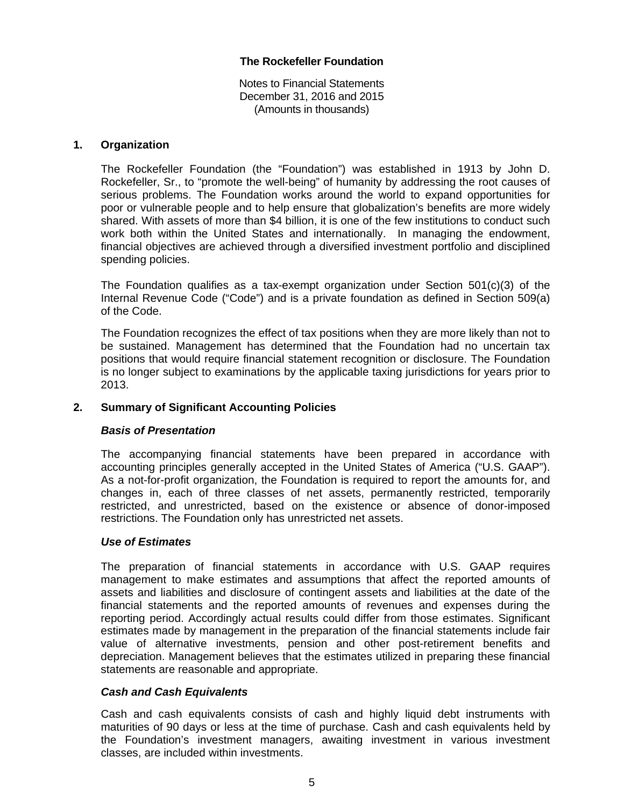Notes to Financial Statements December 31, 2016 and 2015 (Amounts in thousands)

#### **1. Organization**

The Rockefeller Foundation (the "Foundation") was established in 1913 by John D. Rockefeller, Sr., to "promote the well-being" of humanity by addressing the root causes of serious problems. The Foundation works around the world to expand opportunities for poor or vulnerable people and to help ensure that globalization's benefits are more widely shared. With assets of more than \$4 billion, it is one of the few institutions to conduct such work both within the United States and internationally. In managing the endowment, financial objectives are achieved through a diversified investment portfolio and disciplined spending policies.

The Foundation qualifies as a tax-exempt organization under Section 501(c)(3) of the Internal Revenue Code ("Code") and is a private foundation as defined in Section 509(a) of the Code.

 The Foundation recognizes the effect of tax positions when they are more likely than not to be sustained. Management has determined that the Foundation had no uncertain tax positions that would require financial statement recognition or disclosure. The Foundation is no longer subject to examinations by the applicable taxing jurisdictions for years prior to 2013.

#### **2. Summary of Significant Accounting Policies**

#### *Basis of Presentation*

The accompanying financial statements have been prepared in accordance with accounting principles generally accepted in the United States of America ("U.S. GAAP"). As a not-for-profit organization, the Foundation is required to report the amounts for, and changes in, each of three classes of net assets, permanently restricted, temporarily restricted, and unrestricted, based on the existence or absence of donor-imposed restrictions. The Foundation only has unrestricted net assets.

## *Use of Estimates*

 The preparation of financial statements in accordance with U.S. GAAP requires management to make estimates and assumptions that affect the reported amounts of assets and liabilities and disclosure of contingent assets and liabilities at the date of the financial statements and the reported amounts of revenues and expenses during the reporting period. Accordingly actual results could differ from those estimates. Significant estimates made by management in the preparation of the financial statements include fair value of alternative investments, pension and other post-retirement benefits and depreciation. Management believes that the estimates utilized in preparing these financial statements are reasonable and appropriate.

#### *Cash and Cash Equivalents*

Cash and cash equivalents consists of cash and highly liquid debt instruments with maturities of 90 days or less at the time of purchase. Cash and cash equivalents held by the Foundation's investment managers, awaiting investment in various investment classes, are included within investments.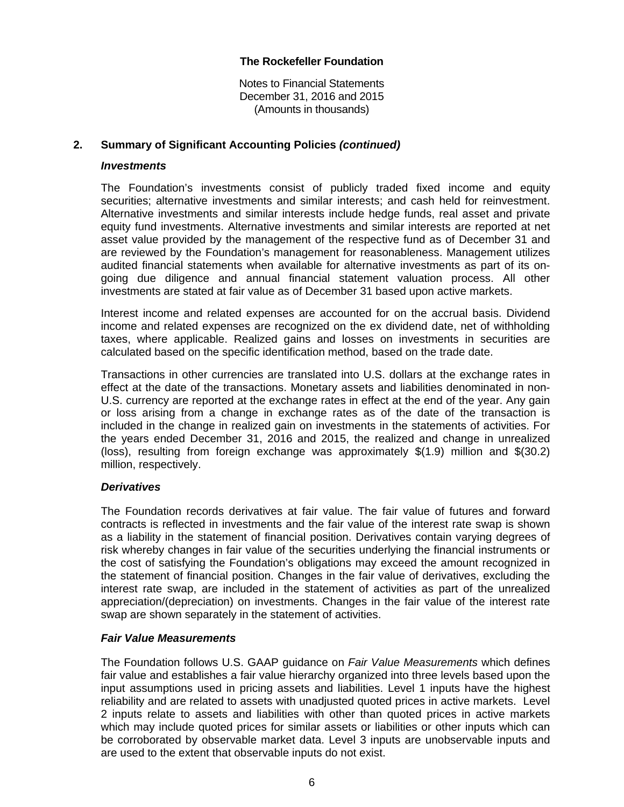Notes to Financial Statements December 31, 2016 and 2015 (Amounts in thousands)

# **2. Summary of Significant Accounting Policies** *(continued)*

#### *Investments*

The Foundation's investments consist of publicly traded fixed income and equity securities; alternative investments and similar interests; and cash held for reinvestment. Alternative investments and similar interests include hedge funds, real asset and private equity fund investments. Alternative investments and similar interests are reported at net asset value provided by the management of the respective fund as of December 31 and are reviewed by the Foundation's management for reasonableness. Management utilizes audited financial statements when available for alternative investments as part of its ongoing due diligence and annual financial statement valuation process. All other investments are stated at fair value as of December 31 based upon active markets.

Interest income and related expenses are accounted for on the accrual basis. Dividend income and related expenses are recognized on the ex dividend date, net of withholding taxes, where applicable. Realized gains and losses on investments in securities are calculated based on the specific identification method, based on the trade date.

Transactions in other currencies are translated into U.S. dollars at the exchange rates in effect at the date of the transactions. Monetary assets and liabilities denominated in non-U.S. currency are reported at the exchange rates in effect at the end of the year. Any gain or loss arising from a change in exchange rates as of the date of the transaction is included in the change in realized gain on investments in the statements of activities. For the years ended December 31, 2016 and 2015, the realized and change in unrealized (loss), resulting from foreign exchange was approximately \$(1.9) million and \$(30.2) million, respectively.

#### *Derivatives*

The Foundation records derivatives at fair value. The fair value of futures and forward contracts is reflected in investments and the fair value of the interest rate swap is shown as a liability in the statement of financial position. Derivatives contain varying degrees of risk whereby changes in fair value of the securities underlying the financial instruments or the cost of satisfying the Foundation's obligations may exceed the amount recognized in the statement of financial position. Changes in the fair value of derivatives, excluding the interest rate swap, are included in the statement of activities as part of the unrealized appreciation/(depreciation) on investments. Changes in the fair value of the interest rate swap are shown separately in the statement of activities.

#### *Fair Value Measurements*

The Foundation follows U.S. GAAP guidance on *Fair Value Measurements* which defines fair value and establishes a fair value hierarchy organized into three levels based upon the input assumptions used in pricing assets and liabilities. Level 1 inputs have the highest reliability and are related to assets with unadjusted quoted prices in active markets. Level 2 inputs relate to assets and liabilities with other than quoted prices in active markets which may include quoted prices for similar assets or liabilities or other inputs which can be corroborated by observable market data. Level 3 inputs are unobservable inputs and are used to the extent that observable inputs do not exist.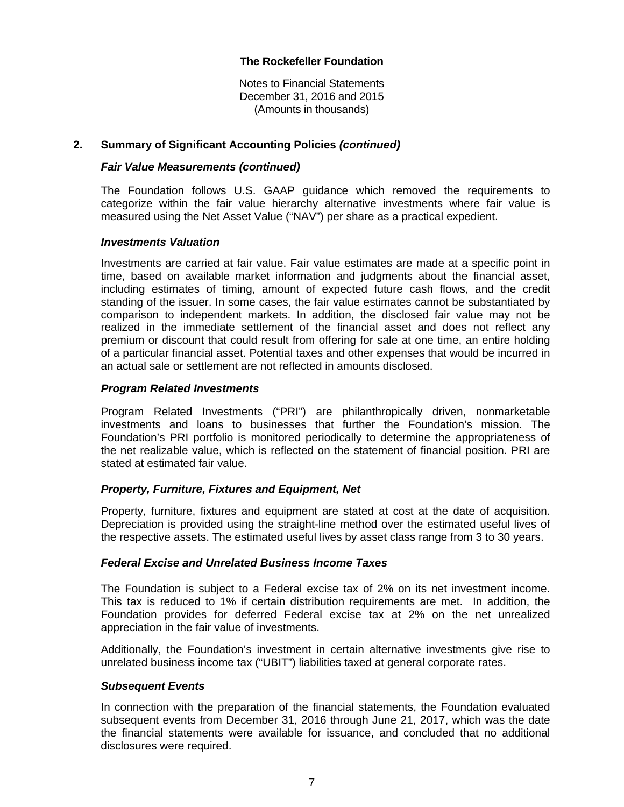Notes to Financial Statements December 31, 2016 and 2015 (Amounts in thousands)

# **2. Summary of Significant Accounting Policies** *(continued)*

#### *Fair Value Measurements (continued)*

The Foundation follows U.S. GAAP guidance which removed the requirements to categorize within the fair value hierarchy alternative investments where fair value is measured using the Net Asset Value ("NAV") per share as a practical expedient.

#### *Investments Valuation*

Investments are carried at fair value. Fair value estimates are made at a specific point in time, based on available market information and judgments about the financial asset, including estimates of timing, amount of expected future cash flows, and the credit standing of the issuer. In some cases, the fair value estimates cannot be substantiated by comparison to independent markets. In addition, the disclosed fair value may not be realized in the immediate settlement of the financial asset and does not reflect any premium or discount that could result from offering for sale at one time, an entire holding of a particular financial asset. Potential taxes and other expenses that would be incurred in an actual sale or settlement are not reflected in amounts disclosed.

#### *Program Related Investments*

Program Related Investments ("PRI") are philanthropically driven, nonmarketable investments and loans to businesses that further the Foundation's mission. The Foundation's PRI portfolio is monitored periodically to determine the appropriateness of the net realizable value, which is reflected on the statement of financial position. PRI are stated at estimated fair value.

#### *Property, Furniture, Fixtures and Equipment, Net*

Property, furniture, fixtures and equipment are stated at cost at the date of acquisition. Depreciation is provided using the straight-line method over the estimated useful lives of the respective assets. The estimated useful lives by asset class range from 3 to 30 years.

#### *Federal Excise and Unrelated Business Income Taxes*

The Foundation is subject to a Federal excise tax of 2% on its net investment income. This tax is reduced to 1% if certain distribution requirements are met. In addition, the Foundation provides for deferred Federal excise tax at 2% on the net unrealized appreciation in the fair value of investments.

Additionally, the Foundation's investment in certain alternative investments give rise to unrelated business income tax ("UBIT") liabilities taxed at general corporate rates.

#### *Subsequent Events*

In connection with the preparation of the financial statements, the Foundation evaluated subsequent events from December 31, 2016 through June 21, 2017, which was the date the financial statements were available for issuance, and concluded that no additional disclosures were required.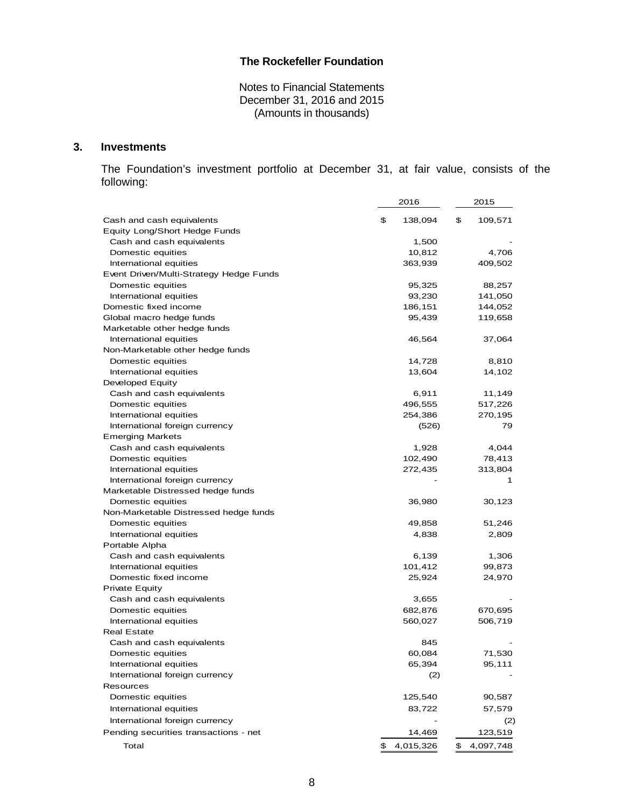Notes to Financial Statements December 31, 2016 and 2015 (Amounts in thousands)

## **3. Investments**

The Foundation's investment portfolio at December 31, at fair value, consists of the following:

|                                         | 2016 |           | 2015 |           |
|-----------------------------------------|------|-----------|------|-----------|
| Cash and cash equivalents               | \$   | 138,094   | \$   | 109,571   |
| Equity Long/Short Hedge Funds           |      |           |      |           |
| Cash and cash equivalents               |      | 1,500     |      |           |
| Domestic equities                       |      | 10,812    |      | 4,706     |
| International equities                  |      | 363,939   |      | 409,502   |
| Event Driven/Multi-Strategy Hedge Funds |      |           |      |           |
| Domestic equities                       |      | 95,325    |      | 88,257    |
| International equities                  |      | 93,230    |      | 141,050   |
| Domestic fixed income                   |      | 186,151   |      | 144,052   |
| Global macro hedge funds                |      | 95,439    |      | 119,658   |
| Marketable other hedge funds            |      |           |      |           |
| International equities                  |      | 46,564    |      | 37,064    |
| Non-Marketable other hedge funds        |      |           |      |           |
| Domestic equities                       |      | 14,728    |      | 8,810     |
| International equities                  |      | 13,604    |      | 14,102    |
| Developed Equity                        |      |           |      |           |
| Cash and cash equivalents               |      | 6,911     |      | 11,149    |
| Domestic equities                       |      | 496,555   |      | 517,226   |
| International equities                  |      | 254,386   |      | 270,195   |
| International foreign currency          |      | (526)     |      | 79        |
| Emerging Markets                        |      |           |      |           |
| Cash and cash equivalents               |      | 1,928     |      | 4,044     |
| Domestic equities                       |      | 102,490   |      | 78,413    |
| International equities                  |      | 272,435   |      | 313,804   |
| International foreign currency          |      |           |      | 1         |
| Marketable Distressed hedge funds       |      |           |      |           |
| Domestic equities                       |      | 36,980    |      | 30,123    |
| Non-Marketable Distressed hedge funds   |      |           |      |           |
| Domestic equities                       |      | 49,858    |      | 51,246    |
| International equities                  |      | 4,838     |      | 2,809     |
| Portable Alpha                          |      |           |      |           |
| Cash and cash equivalents               |      | 6,139     |      | 1,306     |
| International equities                  |      | 101,412   |      | 99,873    |
| Domestic fixed income                   |      | 25,924    |      | 24,970    |
| <b>Private Equity</b>                   |      |           |      |           |
| Cash and cash equivalents               |      | 3,655     |      |           |
| Domestic equities                       |      | 682,876   |      | 670,695   |
| International equities                  |      | 560,027   |      | 506,719   |
| <b>Real Estate</b>                      |      |           |      |           |
| Cash and cash equivalents               |      | 845       |      |           |
| Domestic equities                       |      | 60,084    |      | 71,530    |
| International equities                  |      | 65,394    |      | 95,111    |
| International foreign currency          |      | (2)       |      |           |
| Resources                               |      |           |      |           |
| Domestic equities                       |      | 125,540   |      | 90,587    |
| International equities                  |      | 83,722    |      | 57,579    |
| International foreign currency          |      |           |      | (2)       |
| Pending securities transactions - net   |      |           |      |           |
|                                         |      | 14,469    |      | 123,519   |
| Total                                   | \$   | 4,015,326 | \$   | 4,097,748 |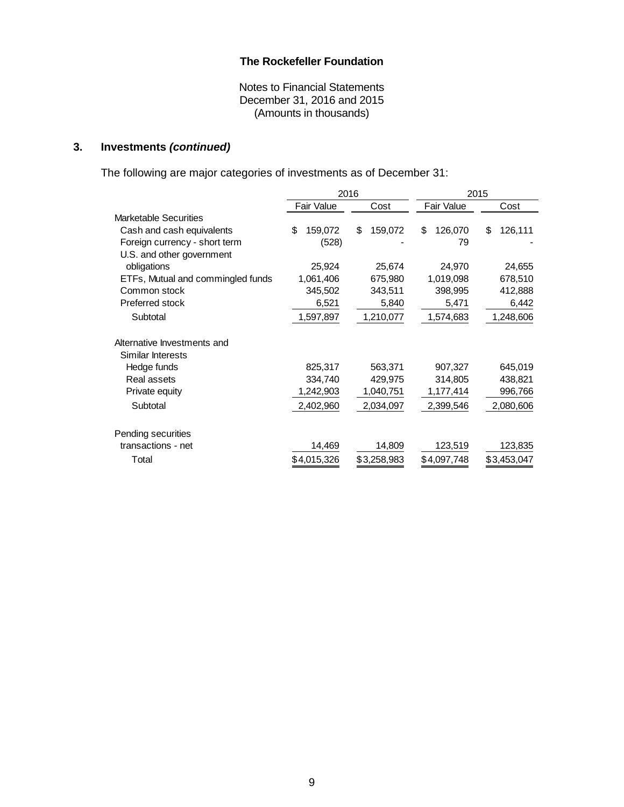Notes to Financial Statements December 31, 2016 and 2015 (Amounts in thousands)

# **3. Investments** *(continued)*

The following are major categories of investments as of December 31:

|                                   |                   | 2016          | 2015              |               |  |  |
|-----------------------------------|-------------------|---------------|-------------------|---------------|--|--|
|                                   | <b>Fair Value</b> | Cost          | <b>Fair Value</b> | Cost          |  |  |
| <b>Marketable Securities</b>      |                   |               |                   |               |  |  |
| Cash and cash equivalents         | \$<br>159,072     | \$<br>159,072 | \$<br>126,070     | \$<br>126,111 |  |  |
| Foreign currency - short term     | (528)             |               | 79                |               |  |  |
| U.S. and other government         |                   |               |                   |               |  |  |
| obligations                       | 25,924            | 25,674        | 24,970            | 24,655        |  |  |
| ETFs, Mutual and commingled funds | 1,061,406         | 675,980       | 1,019,098         | 678,510       |  |  |
| Common stock                      | 345,502           | 343,511       | 398,995           | 412,888       |  |  |
| Preferred stock                   | 6,521             | 5,840         | 5,471             | 6,442         |  |  |
| Subtotal                          | 1,597,897         | 1,210,077     | 1,574,683         | 1,248,606     |  |  |
| Alternative Investments and       |                   |               |                   |               |  |  |
| Similar Interests                 |                   |               |                   |               |  |  |
| Hedge funds                       | 825,317           | 563,371       | 907,327           | 645,019       |  |  |
| Real assets                       | 334,740           | 429,975       | 314,805           | 438,821       |  |  |
| Private equity                    | 1,242,903         | 1,040,751     | 1,177,414         | 996,766       |  |  |
| Subtotal                          | 2,402,960         | 2,034,097     | 2,399,546         | 2,080,606     |  |  |
| Pending securities                |                   |               |                   |               |  |  |
| transactions - net                | 14,469            | 14,809        | 123,519           | 123,835       |  |  |
| Total                             | \$4,015,326       | \$3,258,983   | \$4,097,748       | \$3,453,047   |  |  |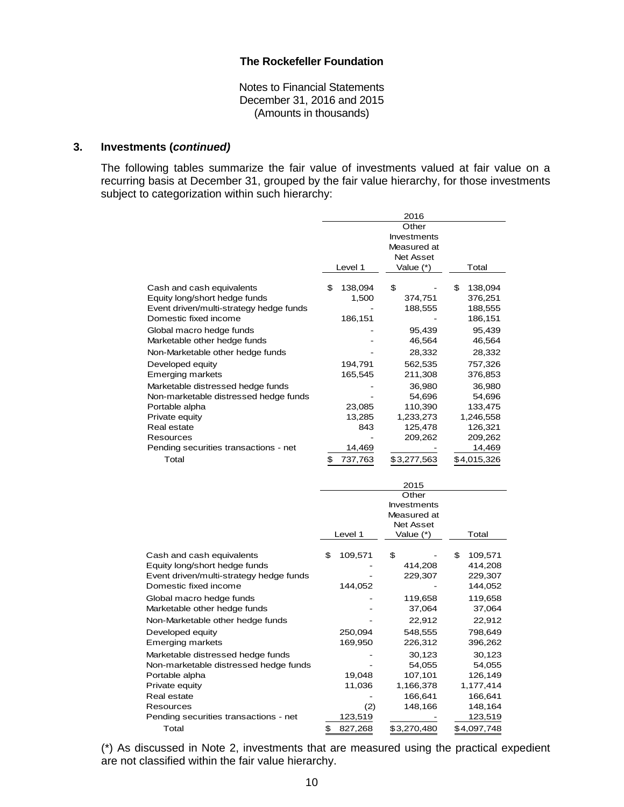Notes to Financial Statements December 31, 2016 and 2015 (Amounts in thousands)

#### **3. Investments (***continued)*

The following tables summarize the fair value of investments valued at fair value on a recurring basis at December 31, grouped by the fair value hierarchy, for those investments subject to categorization within such hierarchy:

|                                         | 2016 |         |                    |    |             |
|-----------------------------------------|------|---------|--------------------|----|-------------|
|                                         |      |         | Other              |    |             |
|                                         |      |         | <b>Investments</b> |    |             |
|                                         |      |         | Measured at        |    |             |
|                                         |      |         | <b>Net Asset</b>   |    |             |
|                                         |      | Level 1 | Value (*)          |    | Total       |
| Cash and cash equivalents               | \$   | 138,094 | \$                 | \$ | 138,094     |
| Equity long/short hedge funds           |      | 1,500   | 374,751            |    | 376,251     |
| Event driven/multi-strategy hedge funds |      |         | 188,555            |    | 188,555     |
| Domestic fixed income                   |      |         |                    |    |             |
|                                         |      | 186,151 |                    |    | 186,151     |
| Global macro hedge funds                |      |         | 95,439             |    | 95,439      |
| Marketable other hedge funds            |      |         | 46,564             |    | 46,564      |
| Non-Marketable other hedge funds        |      |         | 28,332             |    | 28,332      |
| Developed equity                        |      | 194,791 | 562,535            |    | 757,326     |
| Emerging markets                        |      | 165,545 | 211,308            |    | 376,853     |
| Marketable distressed hedge funds       |      |         | 36,980             |    | 36,980      |
| Non-marketable distressed hedge funds   |      |         | 54,696             |    | 54,696      |
| Portable alpha                          |      | 23,085  | 110,390            |    | 133,475     |
| Private equity                          |      | 13,285  | 1,233,273          |    | 1,246,558   |
| Real estate                             |      | 843     | 125,478            |    | 126,321     |
| Resources                               |      |         | 209,262            |    | 209,262     |
| Pending securities transactions - net   |      | 14,469  |                    |    | 14,469      |
| Total                                   | \$   | 737,763 | \$3,277,563        |    | \$4,015,326 |

|                                         | 2015 |         |    |                                                                |    |             |
|-----------------------------------------|------|---------|----|----------------------------------------------------------------|----|-------------|
|                                         |      |         |    | Other<br><b>Investments</b><br>Measured at<br><b>Net Asset</b> |    |             |
|                                         |      | Level 1 |    | Value (*)                                                      |    | Total       |
| Cash and cash equivalents               | \$   | 109,571 | \$ |                                                                | \$ | 109,571     |
| Equity long/short hedge funds           |      |         |    | 414,208                                                        |    | 414,208     |
| Event driven/multi-strategy hedge funds |      |         |    | 229,307                                                        |    | 229,307     |
| Domestic fixed income                   |      | 144,052 |    |                                                                |    | 144,052     |
| Global macro hedge funds                |      |         |    | 119,658                                                        |    | 119,658     |
| Marketable other hedge funds            |      |         |    | 37,064                                                         |    | 37,064      |
| Non-Marketable other hedge funds        |      |         |    | 22,912                                                         |    | 22,912      |
| Developed equity                        |      | 250,094 |    | 548,555                                                        |    | 798,649     |
| Emerging markets                        |      | 169,950 |    | 226,312                                                        |    | 396,262     |
| Marketable distressed hedge funds       |      |         |    | 30,123                                                         |    | 30,123      |
| Non-marketable distressed hedge funds   |      |         |    | 54,055                                                         |    | 54,055      |
| Portable alpha                          |      | 19,048  |    | 107,101                                                        |    | 126,149     |
| Private equity                          |      | 11,036  |    | 1,166,378                                                      |    | 1,177,414   |
| Real estate                             |      |         |    | 166,641                                                        |    | 166,641     |
| Resources                               |      | (2)     |    | 148,166                                                        |    | 148,164     |
| Pending securities transactions - net   |      | 123,519 |    |                                                                |    | 123,519     |
| Total                                   | \$   | 827,268 |    | \$3,270,480                                                    |    | \$4,097,748 |

(\*) As discussed in Note 2, investments that are measured using the practical expedient are not classified within the fair value hierarchy.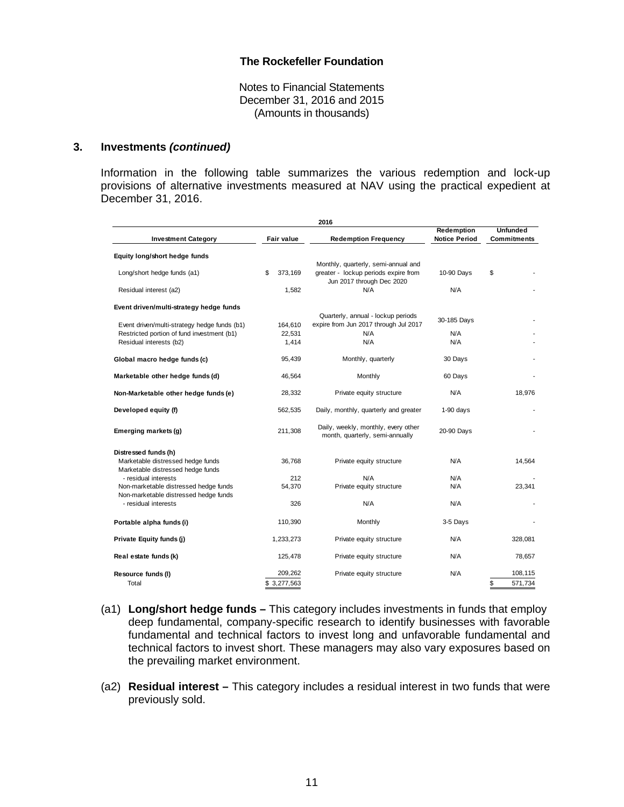Notes to Financial Statements December 31, 2016 and 2015 (Amounts in thousands)

#### **3. Investments** *(continued)*

Information in the following table summarizes the various redemption and lock-up provisions of alternative investments measured at NAV using the practical expedient at December 31, 2016.

|                                                                                            |                                                  | 2016                                                                                                     |                                    |                                       |
|--------------------------------------------------------------------------------------------|--------------------------------------------------|----------------------------------------------------------------------------------------------------------|------------------------------------|---------------------------------------|
| <b>Investment Category</b>                                                                 | <b>Redemption Frequency</b><br><b>Fair value</b> |                                                                                                          | Redemption<br><b>Notice Period</b> | <b>Unfunded</b><br><b>Commitments</b> |
| Equity long/short hedge funds                                                              |                                                  |                                                                                                          |                                    |                                       |
| Long/short hedge funds (a1)                                                                | \$<br>373,169                                    | Monthly, quarterly, semi-annual and<br>greater - lockup periods expire from<br>Jun 2017 through Dec 2020 | 10-90 Days                         | \$                                    |
| Residual interest (a2)                                                                     | 1,582                                            | N/A                                                                                                      | N/A                                |                                       |
| Event driven/multi-strategy hedge funds                                                    |                                                  |                                                                                                          |                                    |                                       |
| Event driven/multi-strategy hedge funds (b1)<br>Restricted portion of fund investment (b1) | 164,610<br>22,531                                | Quarterly, annual - lockup periods<br>expire from Jun 2017 through Jul 2017<br>N/A                       | 30-185 Days<br>N/A                 |                                       |
| Residual interests (b2)                                                                    | 1,414                                            | N/A                                                                                                      | N/A                                |                                       |
| Global macro hedge funds (c)                                                               | 95,439                                           | Monthly, quarterly                                                                                       | 30 Days                            |                                       |
| Marketable other hedge funds (d)                                                           | 46,564                                           | Monthly                                                                                                  | 60 Days                            |                                       |
| Non-Marketable other hedge funds (e)                                                       | 28,332                                           | Private equity structure                                                                                 | N/A                                | 18,976                                |
| Developed equity (f)                                                                       | 562,535                                          | Daily, monthly, quarterly and greater                                                                    | $1-90$ days                        |                                       |
| Emerging markets (g)                                                                       | 211,308                                          | Daily, weekly, monthly, every other<br>month, quarterly, semi-annually                                   | 20-90 Days                         |                                       |
| Distressed funds (h)                                                                       |                                                  |                                                                                                          |                                    |                                       |
| Marketable distressed hedge funds<br>Marketable distressed hedge funds                     | 36,768                                           | Private equity structure                                                                                 | N/A                                | 14,564                                |
| - residual interests                                                                       | 212                                              | N/A                                                                                                      | N/A                                |                                       |
| Non-marketable distressed hedge funds<br>Non-marketable distressed hedge funds             | 54,370                                           | Private equity structure                                                                                 | N/A                                | 23,341                                |
| - residual interests                                                                       | 326                                              | N/A                                                                                                      | N/A                                |                                       |
| Portable alpha funds (i)                                                                   | 110,390                                          | Monthly                                                                                                  | 3-5 Days                           |                                       |
| Private Equity funds (i)                                                                   | 1,233,273                                        | Private equity structure                                                                                 | N/A                                | 328,081                               |
| Real estate funds (k)                                                                      | 125,478                                          | Private equity structure                                                                                 | N/A                                | 78,657                                |
| Resource funds (I)<br>Total                                                                | 209,262<br>\$3,277,563                           | Private equity structure                                                                                 | N/A                                | 108,115<br>571,734<br>\$              |

- (a1) **Long/short hedge funds –** This category includes investments in funds that employ deep fundamental, company-specific research to identify businesses with favorable fundamental and technical factors to invest long and unfavorable fundamental and technical factors to invest short. These managers may also vary exposures based on the prevailing market environment.
- (a2) **Residual interest** This category includes a residual interest in two funds that were previously sold.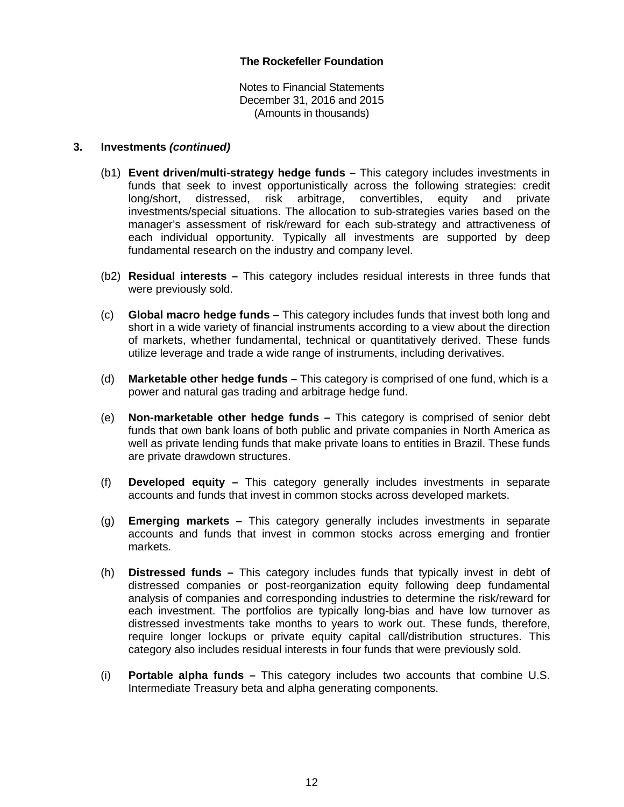Notes to Financial Statements December 31, 2016 and 2015 (Amounts in thousands)

# **3. Investments** *(continued)*

- (b1) **Event driven/multi-strategy hedge funds –** This category includes investments in funds that seek to invest opportunistically across the following strategies: credit long/short, distressed, risk arbitrage, convertibles, equity and private investments/special situations. The allocation to sub-strategies varies based on the manager's assessment of risk/reward for each sub-strategy and attractiveness of each individual opportunity. Typically all investments are supported by deep fundamental research on the industry and company level.
- (b2) **Residual interests** This category includes residual interests in three funds that were previously sold.
- (c) **Global macro hedge funds**  This category includes funds that invest both long and short in a wide variety of financial instruments according to a view about the direction of markets, whether fundamental, technical or quantitatively derived. These funds utilize leverage and trade a wide range of instruments, including derivatives.
- (d) **Marketable other hedge funds –** This category is comprised of one fund, which is a power and natural gas trading and arbitrage hedge fund.
- (e) **Non-marketable other hedge funds –** This category is comprised of senior debt funds that own bank loans of both public and private companies in North America as well as private lending funds that make private loans to entities in Brazil. These funds are private drawdown structures.
- (f) **Developed equity –** This category generally includes investments in separate accounts and funds that invest in common stocks across developed markets.
- (g) **Emerging markets –** This category generally includes investments in separate accounts and funds that invest in common stocks across emerging and frontier markets.
- (h) **Distressed funds –** This category includes funds that typically invest in debt of distressed companies or post-reorganization equity following deep fundamental analysis of companies and corresponding industries to determine the risk/reward for each investment. The portfolios are typically long-bias and have low turnover as distressed investments take months to years to work out. These funds, therefore, require longer lockups or private equity capital call/distribution structures. This category also includes residual interests in four funds that were previously sold.
- (i) **Portable alpha funds –** This category includes two accounts that combine U.S. Intermediate Treasury beta and alpha generating components.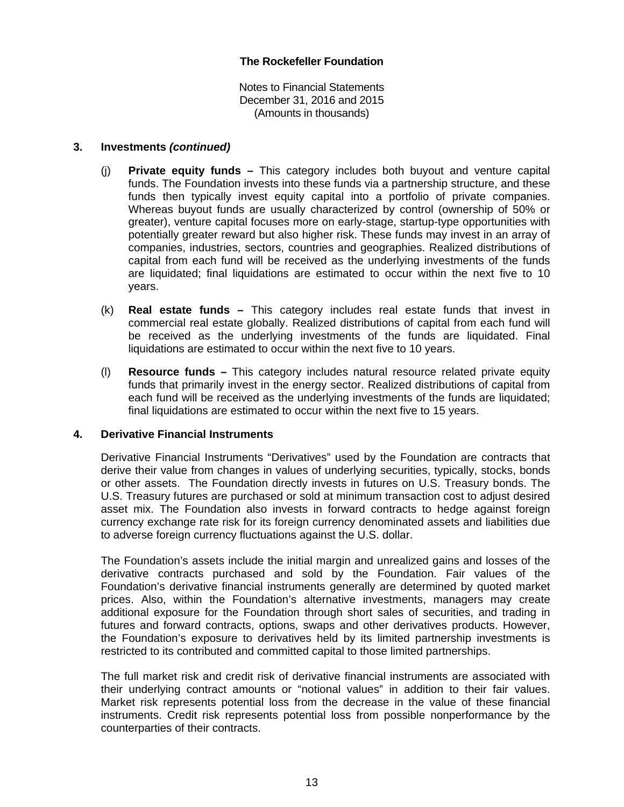Notes to Financial Statements December 31, 2016 and 2015 (Amounts in thousands)

## **3. Investments** *(continued)*

- (j) **Private equity funds –** This category includes both buyout and venture capital funds. The Foundation invests into these funds via a partnership structure, and these funds then typically invest equity capital into a portfolio of private companies. Whereas buyout funds are usually characterized by control (ownership of 50% or greater), venture capital focuses more on early-stage, startup-type opportunities with potentially greater reward but also higher risk. These funds may invest in an array of companies, industries, sectors, countries and geographies. Realized distributions of capital from each fund will be received as the underlying investments of the funds are liquidated; final liquidations are estimated to occur within the next five to 10 years.
- (k) **Real estate funds –** This category includes real estate funds that invest in commercial real estate globally. Realized distributions of capital from each fund will be received as the underlying investments of the funds are liquidated. Final liquidations are estimated to occur within the next five to 10 years.
- (l) **Resource funds –** This category includes natural resource related private equity funds that primarily invest in the energy sector. Realized distributions of capital from each fund will be received as the underlying investments of the funds are liquidated; final liquidations are estimated to occur within the next five to 15 years.

# **4. Derivative Financial Instruments**

Derivative Financial Instruments "Derivatives" used by the Foundation are contracts that derive their value from changes in values of underlying securities, typically, stocks, bonds or other assets. The Foundation directly invests in futures on U.S. Treasury bonds. The U.S. Treasury futures are purchased or sold at minimum transaction cost to adjust desired asset mix. The Foundation also invests in forward contracts to hedge against foreign currency exchange rate risk for its foreign currency denominated assets and liabilities due to adverse foreign currency fluctuations against the U.S. dollar.

The Foundation's assets include the initial margin and unrealized gains and losses of the derivative contracts purchased and sold by the Foundation. Fair values of the Foundation's derivative financial instruments generally are determined by quoted market prices. Also, within the Foundation's alternative investments, managers may create additional exposure for the Foundation through short sales of securities, and trading in futures and forward contracts, options, swaps and other derivatives products. However, the Foundation's exposure to derivatives held by its limited partnership investments is restricted to its contributed and committed capital to those limited partnerships.

The full market risk and credit risk of derivative financial instruments are associated with their underlying contract amounts or "notional values" in addition to their fair values. Market risk represents potential loss from the decrease in the value of these financial instruments. Credit risk represents potential loss from possible nonperformance by the counterparties of their contracts.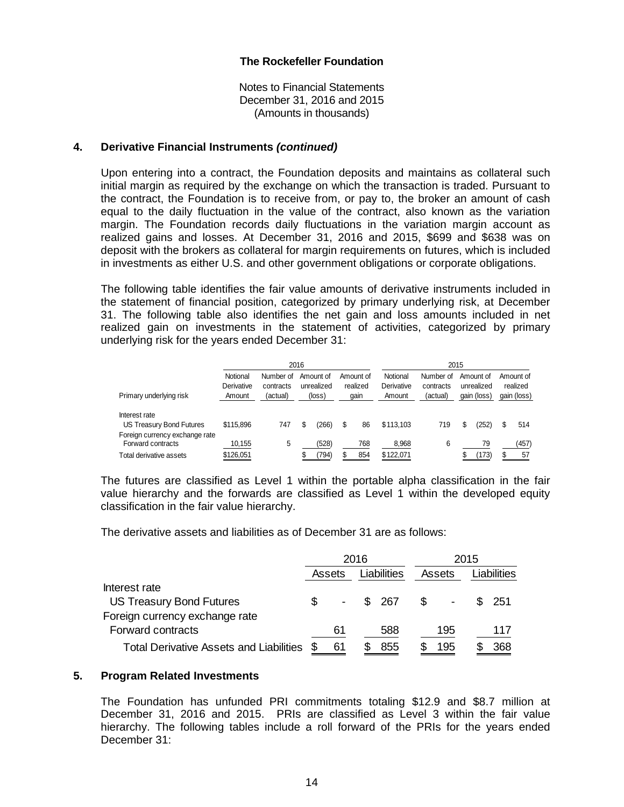Notes to Financial Statements December 31, 2016 and 2015 (Amounts in thousands)

## **4. Derivative Financial Instruments** *(continued)*

 Upon entering into a contract, the Foundation deposits and maintains as collateral such initial margin as required by the exchange on which the transaction is traded. Pursuant to the contract, the Foundation is to receive from, or pay to, the broker an amount of cash equal to the daily fluctuation in the value of the contract, also known as the variation margin. The Foundation records daily fluctuations in the variation margin account as realized gains and losses. At December 31, 2016 and 2015, \$699 and \$638 was on deposit with the brokers as collateral for margin requirements on futures, which is included in investments as either U.S. and other government obligations or corporate obligations.

 The following table identifies the fair value amounts of derivative instruments included in the statement of financial position, categorized by primary underlying risk, at December 31. The following table also identifies the net gain and loss amounts included in net realized gain on investments in the statement of activities, categorized by primary underlying risk for the years ended December 31:

|                                                     | 2016                   |                        |   |                         |   |                       | 2015                   |                        |   |                         |                       |
|-----------------------------------------------------|------------------------|------------------------|---|-------------------------|---|-----------------------|------------------------|------------------------|---|-------------------------|-----------------------|
| Primary underlying risk                             | Notional<br>Derivative | Number of<br>contracts |   | Amount of<br>unrealized |   | Amount of<br>realized | Notional<br>Derivative | Number of<br>contracts |   | Amount of<br>unrealized | Amount of<br>realized |
|                                                     | Amount                 | (actual)               |   | (loss)                  |   | gain                  | Amount                 | (actual)               |   | gain (loss)             | gain (loss)           |
| Interest rate                                       |                        |                        |   |                         |   |                       |                        |                        |   |                         |                       |
| US Treasury Bond Futures                            | \$115,896              | 747                    | S | (266)                   | S | 86                    | \$113.103              | 719                    | S | 252)                    | 514                   |
| Foreign currency exchange rate<br>Forward contracts | 10,155                 | 5                      |   | (528)                   |   | 768                   | 8,968                  | 6                      |   | 79                      | (457)                 |
| Total derivative assets                             | \$126,051              |                        |   | (794                    |   | 854                   | \$122,071              |                        |   | (173)                   | 57                    |

The futures are classified as Level 1 within the portable alpha classification in the fair value hierarchy and the forwards are classified as Level 1 within the developed equity classification in the fair value hierarchy.

The derivative assets and liabilities as of December 31 are as follows:

|                                                | 2016                  |    |  |            | 2015         |     |            |     |
|------------------------------------------------|-----------------------|----|--|------------|--------------|-----|------------|-----|
|                                                | Liabilities<br>Assets |    |  | Assets     | Liabilities  |     |            |     |
| Interest rate                                  |                       |    |  |            |              |     |            |     |
| <b>US Treasury Bond Futures</b>                |                       |    |  | $-$ \$ 267 | $\mathbb{S}$ |     | $-$ \$ 251 |     |
| Foreign currency exchange rate                 |                       |    |  |            |              |     |            |     |
| Forward contracts                              |                       | 61 |  | 588        |              | 195 |            | 117 |
| <b>Total Derivative Assets and Liabilities</b> |                       | 61 |  | 855        |              | 195 |            | 368 |

#### **5. Program Related Investments**

The Foundation has unfunded PRI commitments totaling \$12.9 and \$8.7 million at December 31, 2016 and 2015. PRIs are classified as Level 3 within the fair value hierarchy. The following tables include a roll forward of the PRIs for the years ended December 31: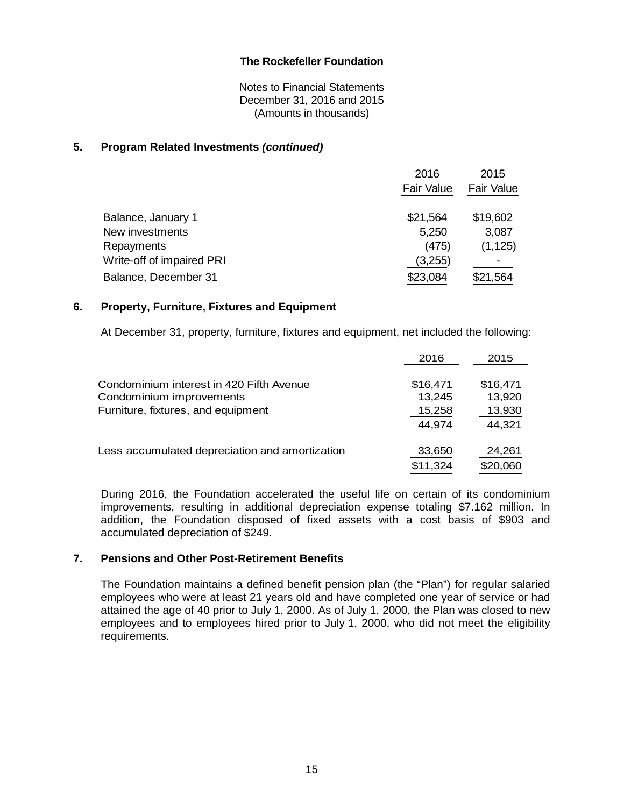Notes to Financial Statements December 31, 2016 and 2015 (Amounts in thousands)

#### **5. Program Related Investments** *(continued)*

|                           | 2016              | 2015              |
|---------------------------|-------------------|-------------------|
|                           | <b>Fair Value</b> | <b>Fair Value</b> |
| Balance, January 1        | \$21,564          | \$19,602          |
| New investments           | 5,250             | 3,087             |
| Repayments                | (475)             | (1, 125)          |
| Write-off of impaired PRI | (3,255)           |                   |
| Balance, December 31      | \$23,084          | \$21,564          |

# **6. Property, Furniture, Fixtures and Equipment**

At December 31, property, furniture, fixtures and equipment, net included the following:

|                                                | 2016     | 2015     |
|------------------------------------------------|----------|----------|
|                                                |          |          |
| Condominium interest in 420 Fifth Avenue       | \$16,471 | \$16,471 |
| Condominium improvements                       | 13,245   | 13,920   |
| Furniture, fixtures, and equipment             | 15,258   | 13,930   |
|                                                | 44.974   | 44,321   |
| Less accumulated depreciation and amortization | 33,650   | 24,261   |
|                                                | \$11,324 | \$20,060 |

During 2016, the Foundation accelerated the useful life on certain of its condominium improvements, resulting in additional depreciation expense totaling \$7.162 million. In addition, the Foundation disposed of fixed assets with a cost basis of \$903 and accumulated depreciation of \$249.

# **7. Pensions and Other Post-Retirement Benefits**

The Foundation maintains a defined benefit pension plan (the "Plan") for regular salaried employees who were at least 21 years old and have completed one year of service or had attained the age of 40 prior to July 1, 2000. As of July 1, 2000, the Plan was closed to new employees and to employees hired prior to July 1, 2000, who did not meet the eligibility requirements.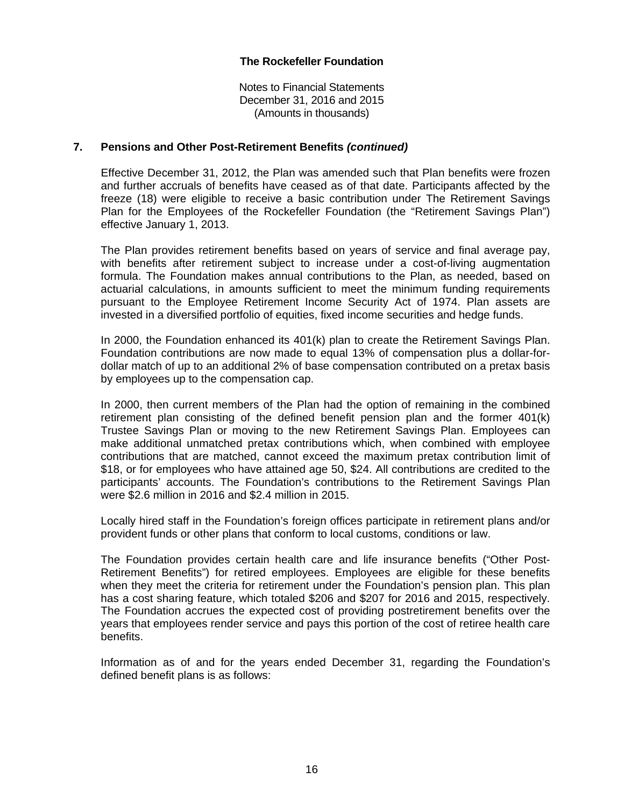Notes to Financial Statements December 31, 2016 and 2015 (Amounts in thousands)

## **7. Pensions and Other Post-Retirement Benefits** *(continued)*

Effective December 31, 2012, the Plan was amended such that Plan benefits were frozen and further accruals of benefits have ceased as of that date. Participants affected by the freeze (18) were eligible to receive a basic contribution under The Retirement Savings Plan for the Employees of the Rockefeller Foundation (the "Retirement Savings Plan") effective January 1, 2013.

The Plan provides retirement benefits based on years of service and final average pay, with benefits after retirement subject to increase under a cost-of-living augmentation formula. The Foundation makes annual contributions to the Plan, as needed, based on actuarial calculations, in amounts sufficient to meet the minimum funding requirements pursuant to the Employee Retirement Income Security Act of 1974. Plan assets are invested in a diversified portfolio of equities, fixed income securities and hedge funds.

In 2000, the Foundation enhanced its 401(k) plan to create the Retirement Savings Plan. Foundation contributions are now made to equal 13% of compensation plus a dollar-fordollar match of up to an additional 2% of base compensation contributed on a pretax basis by employees up to the compensation cap.

In 2000, then current members of the Plan had the option of remaining in the combined retirement plan consisting of the defined benefit pension plan and the former 401(k) Trustee Savings Plan or moving to the new Retirement Savings Plan. Employees can make additional unmatched pretax contributions which, when combined with employee contributions that are matched, cannot exceed the maximum pretax contribution limit of \$18, or for employees who have attained age 50, \$24. All contributions are credited to the participants' accounts. The Foundation's contributions to the Retirement Savings Plan were \$2.6 million in 2016 and \$2.4 million in 2015.

Locally hired staff in the Foundation's foreign offices participate in retirement plans and/or provident funds or other plans that conform to local customs, conditions or law.

The Foundation provides certain health care and life insurance benefits ("Other Post-Retirement Benefits") for retired employees. Employees are eligible for these benefits when they meet the criteria for retirement under the Foundation's pension plan. This plan has a cost sharing feature, which totaled \$206 and \$207 for 2016 and 2015, respectively. The Foundation accrues the expected cost of providing postretirement benefits over the years that employees render service and pays this portion of the cost of retiree health care benefits.

Information as of and for the years ended December 31, regarding the Foundation's defined benefit plans is as follows: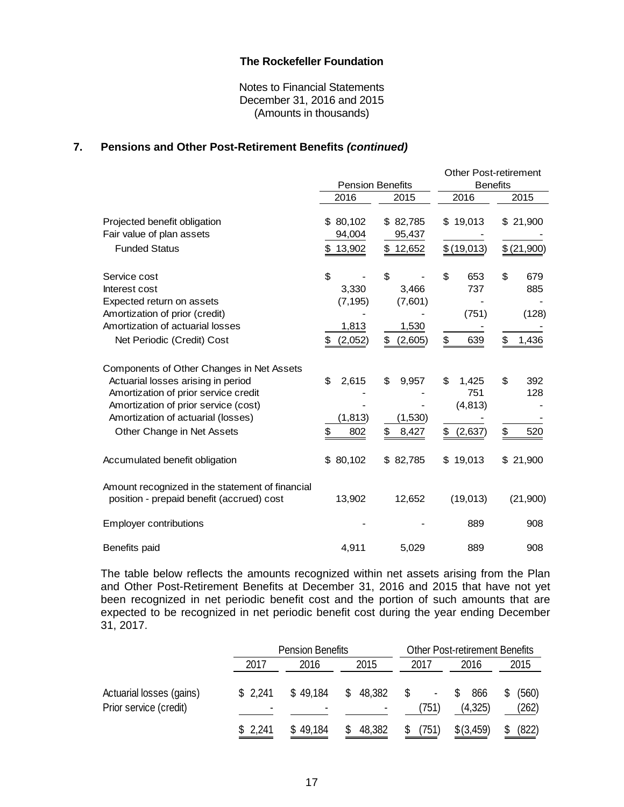Notes to Financial Statements December 31, 2016 and 2015 (Amounts in thousands)

## **7. Pensions and Other Post-Retirement Benefits** *(continued)*

|                                                                                                                                                                                                                                     |                                                   |                                                  | <b>Other Post-retirement</b>                    |                                          |  |
|-------------------------------------------------------------------------------------------------------------------------------------------------------------------------------------------------------------------------------------|---------------------------------------------------|--------------------------------------------------|-------------------------------------------------|------------------------------------------|--|
|                                                                                                                                                                                                                                     | <b>Pension Benefits</b>                           |                                                  | <b>Benefits</b>                                 |                                          |  |
|                                                                                                                                                                                                                                     | 2016                                              | 2015                                             | 2016                                            | 2015                                     |  |
| Projected benefit obligation<br>Fair value of plan assets<br><b>Funded Status</b>                                                                                                                                                   | 80,102<br>\$<br>94,004<br>13,902<br>S             | \$82,785<br>95,437<br>12,652<br>\$               | \$19,013<br>\$(19,013)                          | 21,900<br>\$<br>\$(21,900)               |  |
| Service cost<br>Interest cost<br>Expected return on assets<br>Amortization of prior (credit)<br>Amortization of actuarial losses<br>Net Periodic (Credit) Cost                                                                      | \$<br>3,330<br>(7, 195)<br>1,813<br>\$<br>(2,052) | \$<br>3,466<br>(7,601)<br>1,530<br>\$<br>(2,605) | \$<br>653<br>737<br>(751)<br>\$<br>639          | \$<br>679<br>885<br>(128)<br>\$<br>1,436 |  |
| Components of Other Changes in Net Assets<br>Actuarial losses arising in period<br>Amortization of prior service credit<br>Amortization of prior service (cost)<br>Amortization of actuarial (losses)<br>Other Change in Net Assets | \$<br>2,615<br>(1, 813)<br>\$<br>802              | \$<br>9,957<br>(1,530)<br>\$<br>8,427            | \$<br>1,425<br>751<br>(4, 813)<br>\$<br>(2,637) | \$<br>392<br>128<br>\$<br>520            |  |
| Accumulated benefit obligation                                                                                                                                                                                                      | \$80,102                                          | \$82,785                                         | 19,013<br>\$                                    | 21,900<br>\$                             |  |
| Amount recognized in the statement of financial<br>position - prepaid benefit (accrued) cost                                                                                                                                        | 13,902                                            | 12,652                                           | (19,013)                                        | (21,900)                                 |  |
| <b>Employer contributions</b>                                                                                                                                                                                                       |                                                   |                                                  | 889                                             | 908                                      |  |
| Benefits paid                                                                                                                                                                                                                       | 4,911                                             | 5,029                                            | 889                                             | 908                                      |  |

The table below reflects the amounts recognized within net assets arising from the Plan and Other Post-Retirement Benefits at December 31, 2016 and 2015 that have not yet been recognized in net periodic benefit cost and the portion of such amounts that are expected to be recognized in net periodic benefit cost during the year ending December 31, 2017.

|                                                    |                           | <b>Pension Benefits</b> |                   |                  | <b>Other Post-retirement Benefits</b> |                     |
|----------------------------------------------------|---------------------------|-------------------------|-------------------|------------------|---------------------------------------|---------------------|
|                                                    | 2017                      | 2016                    | 2015              | 2017             | 2016                                  | 2015                |
| Actuarial losses (gains)<br>Prior service (credit) | \$2,241<br>$\blacksquare$ | \$49,184<br>۰           | 48,382<br>S.<br>۰ | \$<br>٠<br>(751) | 866<br>(4,325)                        | (560)<br>S<br>(262) |
|                                                    | \$2,241                   | \$49,184                | 48,382            | (751             | \$ (3, 459)                           | (822)               |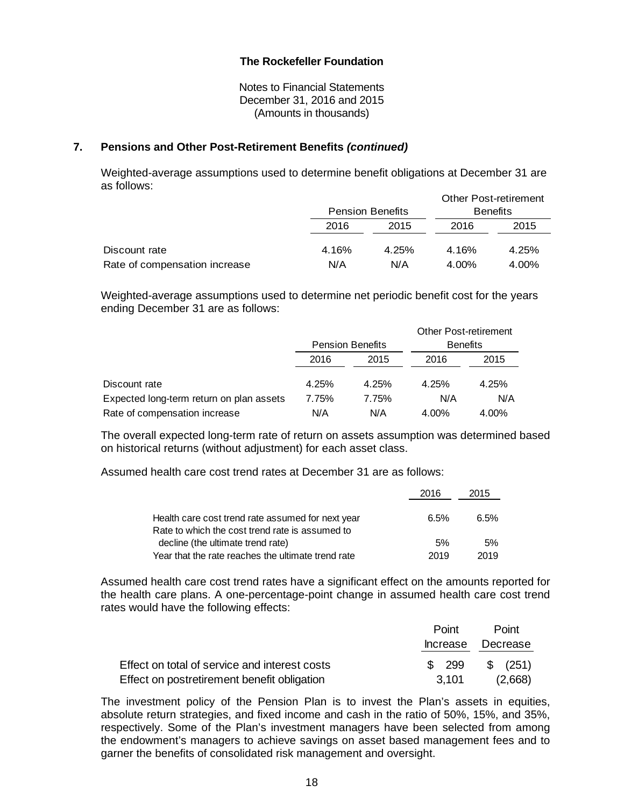Notes to Financial Statements December 31, 2016 and 2015 (Amounts in thousands)

## **7. Pensions and Other Post-Retirement Benefits** *(continued)*

Weighted-average assumptions used to determine benefit obligations at December 31 are as follows:

|                               |       |                         |       | <b>Other Post-retirement</b> |
|-------------------------------|-------|-------------------------|-------|------------------------------|
|                               |       | <b>Pension Benefits</b> |       | <b>Benefits</b>              |
|                               | 2016  | 2015                    | 2016  | 2015                         |
|                               |       |                         |       |                              |
| Discount rate                 | 4.16% | 4.25%                   | 4.16% | 4.25%                        |
| Rate of compensation increase | N/A   | N/A                     | 4.00% | 4.00%                        |

Weighted-average assumptions used to determine net periodic benefit cost for the years ending December 31 are as follows:

|                                          |       |                         | <b>Other Post-retirement</b> |       |
|------------------------------------------|-------|-------------------------|------------------------------|-------|
|                                          |       | <b>Pension Benefits</b> | <b>Benefits</b>              |       |
|                                          | 2016  | 2015                    | 2016                         | 2015  |
| Discount rate                            | 4.25% | 4.25%                   | 4.25%                        | 4.25% |
| Expected long-term return on plan assets | 7.75% | 7.75%                   | N/A                          | N/A   |
| Rate of compensation increase            | N/A   | N/A                     | 4.00%                        | 4.00% |

The overall expected long-term rate of return on assets assumption was determined based on historical returns (without adjustment) for each asset class.

Assumed health care cost trend rates at December 31 are as follows:

|                                                    | 2016 | 2015 |
|----------------------------------------------------|------|------|
| Health care cost trend rate assumed for next year  | 6.5% | 6.5% |
| Rate to which the cost trend rate is assumed to    |      |      |
| decline (the ultimate trend rate)                  | 5%   | 5%   |
| Year that the rate reaches the ultimate trend rate | 2019 | 2019 |

Assumed health care cost trend rates have a significant effect on the amounts reported for the health care plans. A one-percentage-point change in assumed health care cost trend rates would have the following effects:

|                                               | Point  | Point             |
|-----------------------------------------------|--------|-------------------|
|                                               |        | Increase Decrease |
| Effect on total of service and interest costs | \$299  | \$ (251)          |
| Effect on postretirement benefit obligation   | -3.101 | (2,668)           |

The investment policy of the Pension Plan is to invest the Plan's assets in equities, absolute return strategies, and fixed income and cash in the ratio of 50%, 15%, and 35%, respectively. Some of the Plan's investment managers have been selected from among the endowment's managers to achieve savings on asset based management fees and to garner the benefits of consolidated risk management and oversight.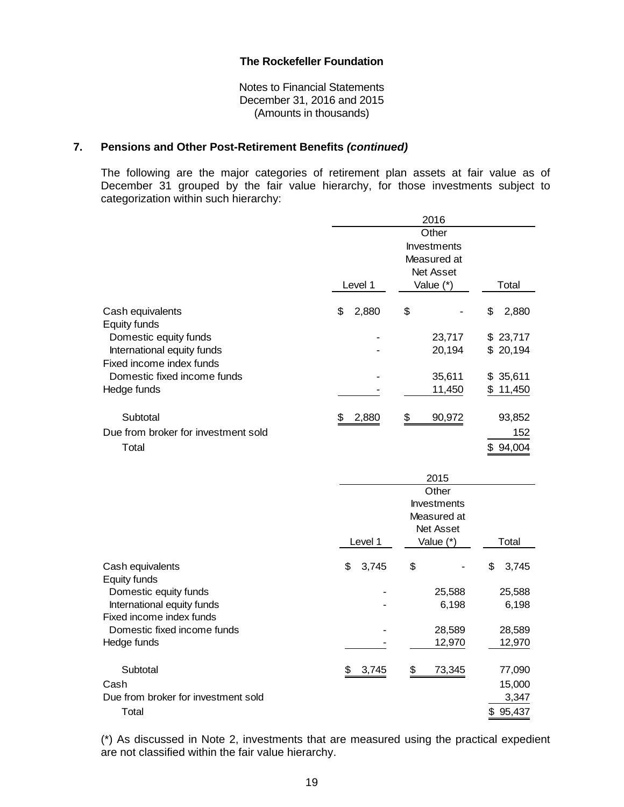Notes to Financial Statements December 31, 2016 and 2015 (Amounts in thousands)

#### **7. Pensions and Other Post-Retirement Benefits** *(continued)*

The following are the major categories of retirement plan assets at fair value as of December 31 grouped by the fair value hierarchy, for those investments subject to categorization within such hierarchy:

|                                     |                    | 2016               |              |  |  |
|-------------------------------------|--------------------|--------------------|--------------|--|--|
|                                     |                    | Other              |              |  |  |
|                                     | <b>Investments</b> |                    |              |  |  |
|                                     |                    | Measured at        |              |  |  |
|                                     |                    | <b>Net Asset</b>   |              |  |  |
|                                     | Level 1            | Value (*)          | Total        |  |  |
| Cash equivalents                    | \$<br>2,880        | \$                 | \$<br>2,880  |  |  |
| Equity funds                        |                    |                    |              |  |  |
| Domestic equity funds               |                    | 23,717             | \$23,717     |  |  |
| International equity funds          |                    | 20,194             | \$20,194     |  |  |
| Fixed income index funds            |                    |                    |              |  |  |
| Domestic fixed income funds         |                    | 35,611             | \$35,611     |  |  |
| Hedge funds                         |                    | 11,450             | \$<br>11,450 |  |  |
| Subtotal                            | \$<br>2,880        | \$<br>90,972       | 93,852       |  |  |
| Due from broker for investment sold |                    |                    | 152          |  |  |
| Total                               |                    |                    | \$<br>94,004 |  |  |
|                                     |                    |                    |              |  |  |
|                                     |                    | 2015               |              |  |  |
|                                     |                    | Other              |              |  |  |
|                                     |                    | <b>Investments</b> |              |  |  |
|                                     |                    | Measured at        |              |  |  |
|                                     |                    | <b>Net Asset</b>   |              |  |  |
|                                     | Level 1            | Value (*)          | Total        |  |  |
| Cash equivalents<br>Equity funds    | \$<br>3,745        | \$                 | \$<br>3,745  |  |  |

| Cash equivalents                    | \$<br>3,745 | \$           | \$<br>3,745 |
|-------------------------------------|-------------|--------------|-------------|
| Equity funds                        |             |              |             |
| Domestic equity funds               |             | 25,588       | 25,588      |
| International equity funds          |             | 6,198        | 6,198       |
| Fixed income index funds            |             |              |             |
| Domestic fixed income funds         |             | 28,589       | 28,589      |
| Hedge funds                         |             | 12,970       | 12,970      |
| Subtotal                            | 3,745<br>S  | \$<br>73,345 | 77,090      |
| Cash                                |             |              | 15,000      |
| Due from broker for investment sold |             |              | 3,347       |
| Total                               |             |              | \$95,437    |

(\*) As discussed in Note 2, investments that are measured using the practical expedient are not classified within the fair value hierarchy.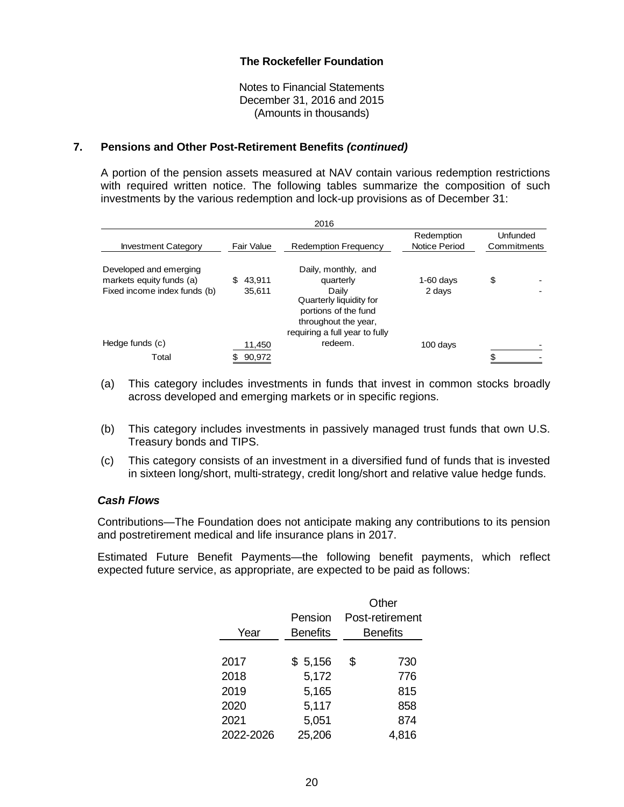Notes to Financial Statements December 31, 2016 and 2015 (Amounts in thousands)

## **7. Pensions and Other Post-Retirement Benefits** *(continued)*

A portion of the pension assets measured at NAV contain various redemption restrictions with required written notice. The following tables summarize the composition of such investments by the various redemption and lock-up provisions as of December 31:

|                              |              | 2016                                                                                                               |                             |                         |
|------------------------------|--------------|--------------------------------------------------------------------------------------------------------------------|-----------------------------|-------------------------|
| <b>Investment Category</b>   | Fair Value   | <b>Redemption Frequency</b>                                                                                        | Redemption<br>Notice Period | Unfunded<br>Commitments |
| Developed and emerging       |              | Daily, monthly, and                                                                                                |                             |                         |
| markets equity funds (a)     | 43.911<br>\$ | quarterly                                                                                                          | $1-60$ days                 | \$                      |
| Fixed income index funds (b) | 35,611       | Daily<br>Quarterly liquidity for<br>portions of the fund<br>throughout the year,<br>requiring a full year to fully | 2 days                      |                         |
| Hedge funds (c)              | 11,450       | redeem.                                                                                                            | 100 days                    |                         |
| Total                        | 90,972       |                                                                                                                    |                             |                         |

- (a) This category includes investments in funds that invest in common stocks broadly across developed and emerging markets or in specific regions.
- (b) This category includes investments in passively managed trust funds that own U.S. Treasury bonds and TIPS.
- (c) This category consists of an investment in a diversified fund of funds that is invested in sixteen long/short, multi-strategy, credit long/short and relative value hedge funds.

# *Cash Flows*

Contributions—The Foundation does not anticipate making any contributions to its pension and postretirement medical and life insurance plans in 2017.

Estimated Future Benefit Payments*—*the following benefit payments, which reflect expected future service, as appropriate, are expected to be paid as follows:

|           |                 | Other           |
|-----------|-----------------|-----------------|
|           | Pension         | Post-retirement |
| Year      | <b>Benefits</b> | <b>Benefits</b> |
|           |                 |                 |
| 2017      | \$5,156         | \$<br>730       |
| 2018      | 5,172           | 776             |
| 2019      | 5,165           | 815             |
| 2020      | 5,117           | 858             |
| 2021      | 5,051           | 874             |
| 2022-2026 | 25,206          | 4,816           |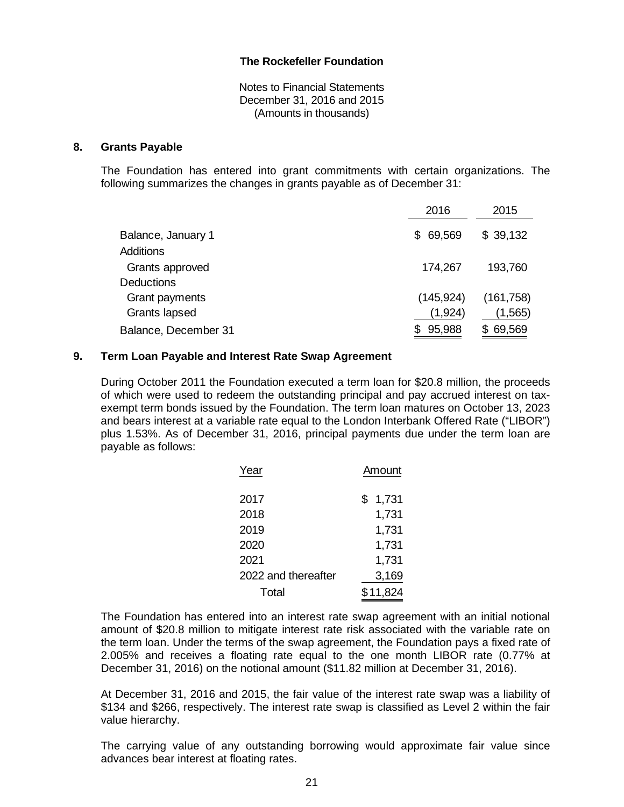Notes to Financial Statements December 31, 2016 and 2015 (Amounts in thousands)

#### **8. Grants Payable**

The Foundation has entered into grant commitments with certain organizations. The following summarizes the changes in grants payable as of December 31:

|                      | 2016       | 2015         |
|----------------------|------------|--------------|
| Balance, January 1   | \$ 69,569  | \$39,132     |
| <b>Additions</b>     |            |              |
| Grants approved      | 174,267    | 193,760      |
| <b>Deductions</b>    |            |              |
| Grant payments       | (145, 924) | (161, 758)   |
| Grants lapsed        | (1,924)    | (1,565)      |
| Balance, December 31 | 95,988     | 69,569<br>S. |
|                      |            |              |

#### **9. Term Loan Payable and Interest Rate Swap Agreement**

During October 2011 the Foundation executed a term loan for \$20.8 million, the proceeds of which were used to redeem the outstanding principal and pay accrued interest on taxexempt term bonds issued by the Foundation. The term loan matures on October 13, 2023 and bears interest at a variable rate equal to the London Interbank Offered Rate ("LIBOR") plus 1.53%. As of December 31, 2016, principal payments due under the term loan are payable as follows:

| Year                | Amount      |  |
|---------------------|-------------|--|
| 2017                | 1,731<br>\$ |  |
| 2018                | 1,731       |  |
| 2019                | 1,731       |  |
| 2020                | 1,731       |  |
| 2021                | 1,731       |  |
| 2022 and thereafter | 3,169       |  |
| Total               | \$11,824    |  |

The Foundation has entered into an interest rate swap agreement with an initial notional amount of \$20.8 million to mitigate interest rate risk associated with the variable rate on the term loan. Under the terms of the swap agreement, the Foundation pays a fixed rate of 2.005% and receives a floating rate equal to the one month LIBOR rate (0.77% at December 31, 2016) on the notional amount (\$11.82 million at December 31, 2016).

At December 31, 2016 and 2015, the fair value of the interest rate swap was a liability of \$134 and \$266, respectively. The interest rate swap is classified as Level 2 within the fair value hierarchy.

The carrying value of any outstanding borrowing would approximate fair value since advances bear interest at floating rates.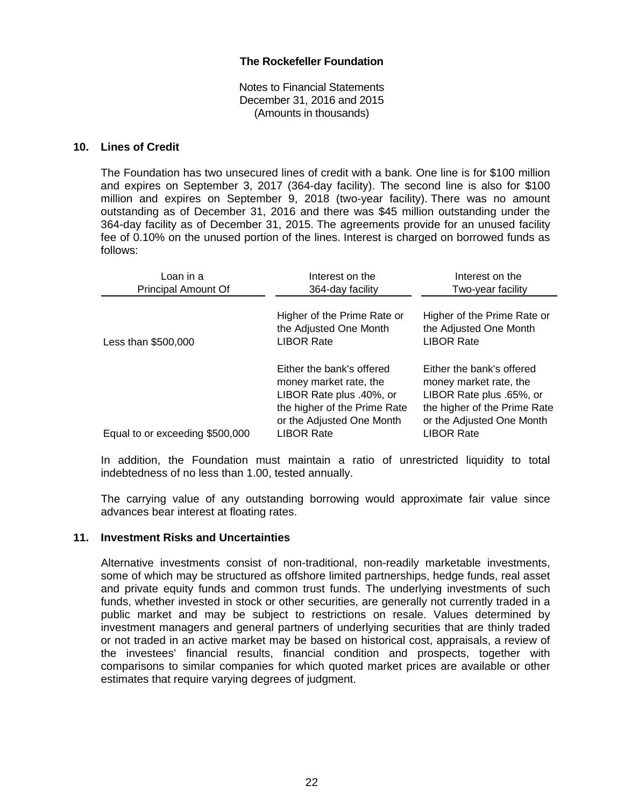Notes to Financial Statements December 31, 2016 and 2015 (Amounts in thousands)

#### **10. Lines of Credit**

The Foundation has two unsecured lines of credit with a bank. One line is for \$100 million and expires on September 3, 2017 (364-day facility). The second line is also for \$100 million and expires on September 9, 2018 (two-year facility). There was no amount outstanding as of December 31, 2016 and there was \$45 million outstanding under the 364-day facility as of December 31, 2015. The agreements provide for an unused facility fee of 0.10% on the unused portion of the lines. Interest is charged on borrowed funds as follows:

| Loan in a<br>Principal Amount Of | Interest on the<br>364-day facility                                                                                                                               | Interest on the<br>Two-year facility                                                                                                                              |
|----------------------------------|-------------------------------------------------------------------------------------------------------------------------------------------------------------------|-------------------------------------------------------------------------------------------------------------------------------------------------------------------|
| Less than \$500,000              | Higher of the Prime Rate or<br>the Adjusted One Month<br><b>LIBOR Rate</b>                                                                                        | Higher of the Prime Rate or<br>the Adjusted One Month<br><b>LIBOR Rate</b>                                                                                        |
| Equal to or exceeding \$500,000  | Either the bank's offered<br>money market rate, the<br>LIBOR Rate plus .40%, or<br>the higher of the Prime Rate<br>or the Adjusted One Month<br><b>LIBOR Rate</b> | Either the bank's offered<br>money market rate, the<br>LIBOR Rate plus .65%, or<br>the higher of the Prime Rate<br>or the Adjusted One Month<br><b>LIBOR Rate</b> |

In addition, the Foundation must maintain a ratio of unrestricted liquidity to total indebtedness of no less than 1.00, tested annually.

The carrying value of any outstanding borrowing would approximate fair value since advances bear interest at floating rates.

#### **11. Investment Risks and Uncertainties**

Alternative investments consist of non-traditional, non-readily marketable investments, some of which may be structured as offshore limited partnerships, hedge funds, real asset and private equity funds and common trust funds. The underlying investments of such funds, whether invested in stock or other securities, are generally not currently traded in a public market and may be subject to restrictions on resale. Values determined by investment managers and general partners of underlying securities that are thinly traded or not traded in an active market may be based on historical cost, appraisals, a review of the investees' financial results, financial condition and prospects, together with comparisons to similar companies for which quoted market prices are available or other estimates that require varying degrees of judgment.